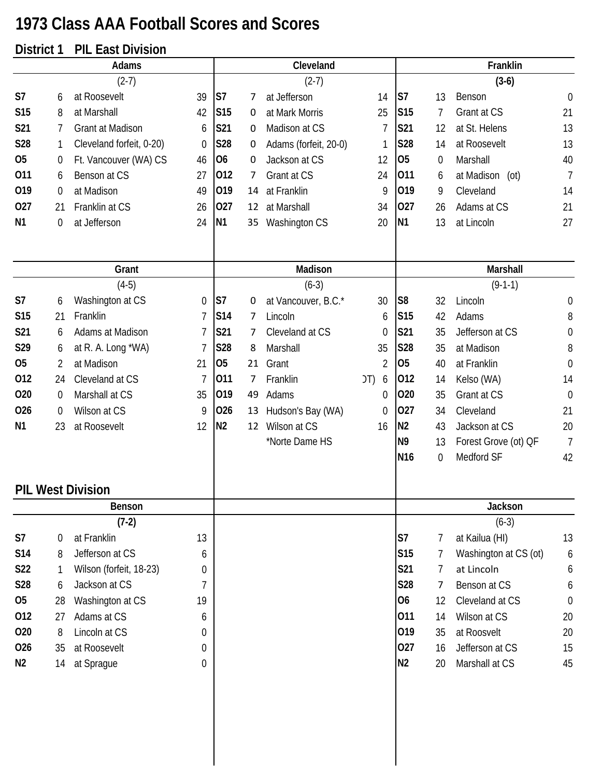## **1973 Class AAA Football Scores and Scores**

## **District 1 PIL East Division**

|                | Adams |                          |                |                 | Cleveland |                       |                |                 | Franklin       |                       |                  |
|----------------|-------|--------------------------|----------------|-----------------|-----------|-----------------------|----------------|-----------------|----------------|-----------------------|------------------|
|                |       | $(2-7)$                  |                |                 |           | $(2-7)$               |                |                 |                | $(3-6)$               |                  |
| S7             | 6     | at Roosevelt             | 39             | S7              | 7         | at Jefferson          | 14             | S7              | 13             | Benson                | $\boldsymbol{0}$ |
| <b>S15</b>     | 8     | at Marshall              | 42             | S <sub>15</sub> | 0         | at Mark Morris        | 25             | S <sub>15</sub> | 7              | Grant at CS           | 21               |
| S21            | 7     | Grant at Madison         | 6              | S21             | 0         | Madison at CS         | $\overline{1}$ | S21             | 12             | at St. Helens         | 13               |
| S28            | 1     | Cleveland forfeit, 0-20) | $\theta$       | <b>S28</b>      | 0         | Adams (forfeit, 20-0) | 1              | S28             | 14             | at Roosevelt          | 13               |
| 05             | 0     | Ft. Vancouver (WA) CS    | 46             | O <sub>6</sub>  | 0         | Jackson at CS         | 12             | 05              | 0              | Marshall              | 40               |
| 011            | 6     | Benson at CS             | 27             | 012             | 7         | Grant at CS           | 24             | 011             | 6              | at Madison (ot)       | $\overline{7}$   |
| 019            | 0     | at Madison               | 49             | 019             | 14        | at Franklin           | 9              | 019             | 9              | Cleveland             | 14               |
| 027            | 21    | Franklin at CS           | 26             | 027             | 12        | at Marshall           | 34             | 027             | 26             | Adams at CS           | 21               |
| N <sub>1</sub> | 0     | at Jefferson             | 24             | <b>N1</b>       | 35        | Washington CS         | 20             | N <sub>1</sub>  | 13             | at Lincoln            | 27               |
|                |       | Grant                    |                |                 |           | Madison               |                |                 |                | Marshall              |                  |
|                |       | $(4-5)$                  |                |                 |           | $(6-3)$               |                |                 |                | $(9-1-1)$             |                  |
| S7             | 6     | Washington at CS         | 0              | S7              | 0         | at Vancouver, B.C.*   | 30             | S <sub>8</sub>  | 32             | Lincoln               | $\mathbf 0$      |
| <b>S15</b>     | 21    | Franklin                 | $\overline{1}$ | S14             | 7         | Lincoln               | 6              | S <sub>15</sub> | 42             | Adams                 | 8                |
| S21            | 6     | Adams at Madison         | $\overline{1}$ | S21             | 7         | Cleveland at CS       | 0              | S21             | 35             | Jefferson at CS       | $\boldsymbol{0}$ |
| S29            | 6     | at R. A. Long *WA)       | 7              | <b>S28</b>      | 8         | Marshall              | 35             | S28             | 35             | at Madison            | 8                |
| <b>O5</b>      | 2     | at Madison               | 21             | 05              | 21        | Grant                 | $\overline{2}$ | 05              | 40             | at Franklin           | $\mathbf 0$      |
| 012            | 24    | Cleveland at CS          | 7              | 011             | 7         | Franklin              | J(T)<br>6      | 012             | 14             | Kelso (WA)            | 14               |
| 020            | 0     | Marshall at CS           | 35             | 019             | 49        | Adams                 | 0              | 020             | 35             | Grant at CS           | $\mathbf 0$      |
| 026            | 0     | Wilson at CS             | 9              | 026             | 13        | Hudson's Bay (WA)     | $\mathbf 0$    | 027             | 34             | Cleveland             | 21               |
| N <sub>1</sub> | 23    | at Roosevelt             | 12             | N <sub>2</sub>  | 12        | Wilson at CS          | 16             | N <sub>2</sub>  | 43             | Jackson at CS         | 20               |
|                |       |                          |                |                 |           | *Norte Dame HS        |                | N <sub>9</sub>  | 13             | Forest Grove (ot) QF  | $\overline{7}$   |
|                |       |                          |                |                 |           |                       |                | N <sub>16</sub> | 0              | Medford SF            | 42               |
|                |       | <b>PIL West Division</b> |                |                 |           |                       |                |                 |                |                       |                  |
|                |       | Benson                   |                |                 |           |                       |                |                 |                | Jackson               |                  |
|                |       | $(7-2)$                  |                |                 |           |                       |                |                 |                | $(6-3)$               |                  |
| S7             | 0     | at Franklin              | 13             |                 |           |                       |                | S <sub>7</sub>  | 7              | at Kailua (HI)        | 13               |
| S14            | 8     | Jefferson at CS          | 6              |                 |           |                       |                | S15             | 7              | Washington at CS (ot) | 6                |
| S22            | 1     | Wilson (forfeit, 18-23)  | 0              |                 |           |                       |                | S21             | $\overline{7}$ | at Lincoln            | 6                |
| <b>S28</b>     | 6     | Jackson at CS            | 7              |                 |           |                       |                | S28             | 7              | Benson at CS          | 6                |
| 05             | 28    | Washington at CS         | 19             |                 |           |                       |                | <b>O6</b>       | 12             | Cleveland at CS       | $\mathbf 0$      |
| 012            | 27    | Adams at CS              | 6              |                 |           |                       |                | 011             | 14             | Wilson at CS          | 20               |
| 020            | 8     | Lincoln at CS            | 0              |                 |           |                       |                | 019             | 35             | at Roosvelt           | 20               |
| 026            | 35    | at Roosevelt             | 0              |                 |           |                       |                | 027             | 16             | Jefferson at CS       | 15               |
| N2             | 14    | at Sprague               | 0              |                 |           |                       |                | N <sub>2</sub>  | 20             | Marshall at CS        | 45               |
|                |       |                          |                |                 |           |                       |                |                 |                |                       |                  |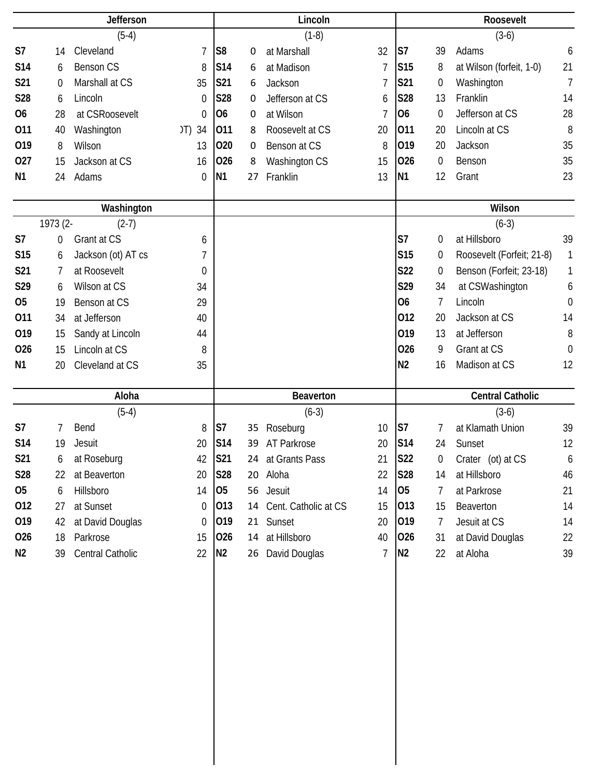|                 | Jefferson   |                    |                  | Lincoln        |    |                         |                | Roosevelt       |                  |                           |                |
|-----------------|-------------|--------------------|------------------|----------------|----|-------------------------|----------------|-----------------|------------------|---------------------------|----------------|
|                 |             | $(5-4)$            |                  |                |    | $(1-8)$                 |                |                 |                  | $(3-6)$                   |                |
| S <sub>7</sub>  | 14          | Cleveland          | $\overline{1}$   | S <sub>8</sub> | 0  | at Marshall             | 32             | S <sub>7</sub>  | 39               | Adams                     | 6              |
| <b>S14</b>      | 6           | <b>Benson CS</b>   | 8                | S14            | 6  | at Madison              | 7              | S <sub>15</sub> | 8                | at Wilson (forfeit, 1-0)  | 21             |
| S21             | $\mathbf 0$ | Marshall at CS     | 35               | S21            | 6  | Jackson                 | $\overline{1}$ | S21             | 0                | Washington                | $\overline{7}$ |
| <b>S28</b>      | 6           | Lincoln            | $\mathbf 0$      | S28            | 0  | Jefferson at CS         | 6              | S28             | 13               | Franklin                  | 14             |
| <b>O6</b>       | 28          | at CSRoosevelt     | $\mathbf 0$      | 06             | 0  | at Wilson               | 7              | <b>O6</b>       | 0                | Jefferson at CS           | 28             |
| 011             | 40          | Washington         | 34<br>(T)        | 011            | 8  | Roosevelt at CS         | 20             | 011             | 20               | Lincoln at CS             | 8              |
| 019             | 8           | Wilson             | 13               | 020            | 0  | Benson at CS            | 8              | 019             | 20               | Jackson                   | 35             |
| 027             | 15          | Jackson at CS      | 16               | 026            | 8  | Washington CS           | 15             | 026             | 0                | Benson                    | 35             |
| N <sub>1</sub>  | 24          | Adams              | $\boldsymbol{0}$ | <b>N1</b>      | 27 | Franklin                | 13             | N <sub>1</sub>  | 12               | Grant                     | 23             |
|                 |             | Washington         |                  |                |    |                         |                |                 |                  | Wilson                    |                |
|                 | 1973 (2-    | $(2-7)$            |                  |                |    |                         |                |                 |                  | $(6-3)$                   |                |
| S <sub>7</sub>  | 0           | Grant at CS        | 6                |                |    |                         |                | S7              | $\boldsymbol{0}$ | at Hillsboro              | 39             |
| S <sub>15</sub> | 6           | Jackson (ot) AT cs | 7                |                |    |                         |                | <b>S15</b>      | 0                | Roosevelt (Forfeit; 21-8) | 1              |
| S21             | 7           | at Roosevelt       | 0                |                |    |                         |                | <b>S22</b>      | 0                | Benson (Forfeit; 23-18)   | 1              |
| S29             | 6           | Wilson at CS       | 34               |                |    |                         |                | S29             | 34               | at CSWashington           | 6              |
| O <sub>5</sub>  | 19          | Benson at CS       | 29               |                |    |                         |                | <b>O6</b>       | 7                | Lincoln                   | $\theta$       |
| 011             | 34          | at Jefferson       | 40               |                |    |                         |                | 012             | 20               | Jackson at CS             | 14             |
| 019             | 15          | Sandy at Lincoln   | 44               |                |    |                         |                | 019             | 13               | at Jefferson              | 8              |
| 026             | 15          | Lincoln at CS      | 8                |                |    |                         |                | 026             | 9                | Grant at CS               | $\theta$       |
| N <sub>1</sub>  | 20          | Cleveland at CS    | 35               |                |    |                         |                | N <sub>2</sub>  | 16               | Madison at CS             | 12             |
|                 |             |                    |                  |                |    |                         |                |                 |                  |                           |                |
|                 |             | Aloha              |                  |                |    | <b>Beaverton</b>        |                |                 |                  | <b>Central Catholic</b>   |                |
|                 |             | $(5-4)$            |                  |                |    | $(6-3)$                 |                |                 |                  | $(3-6)$                   |                |
|                 |             |                    |                  |                |    |                         |                |                 |                  |                           |                |
| S7              | 7           | Bend               | 8                | S7             | 35 | Roseburg                | 10             | S7              | 7                | at Klamath Union          | 39             |
| S14             | 19          | Jesuit             | 20               | S14            | 39 | AT Parkrose             | 20             | <b>S14</b>      | 24               | Sunset                    | 12             |
| <b>S21</b>      | 6           | at Roseburg        | 42               | <b>S21</b>     |    | 24 at Grants Pass       | 21             | <b>S22</b>      | 0                | Crater (ot) at CS         | 6              |
| <b>S28</b>      | 22          | at Beaverton       | 20               | S28            |    | 20 Aloha                | 22             | S28             | 14               | at Hillsboro              | 46             |
| 05              | 6           | Hillsboro          | 14               | 05             |    | 56 Jesuit               | 14             | 05              | 7                | at Parkrose               | 21             |
| 012             | 27          | at Sunset          | $\overline{0}$   | 013            |    | 14 Cent. Catholic at CS | 15             | 013             | 15               | Beaverton                 | 14             |
| 019             | 42          | at David Douglas   | 0                | 019            |    | 21 Sunset               | 20             | 019             | $\overline{7}$   | Jesuit at CS              | 14             |
| 026             | 18          | Parkrose           | 15               | 026            |    | 14 at Hillsboro         | 40             | 026             | 31               | at David Douglas          | 22             |
| N <sub>2</sub>  | 39          | Central Catholic   | 22               | N <sub>2</sub> |    | 26 David Douglas        | $\overline{1}$ | N <sub>2</sub>  | 22               | at Aloha                  | 39             |
|                 |             |                    |                  |                |    |                         |                |                 |                  |                           |                |
|                 |             |                    |                  |                |    |                         |                |                 |                  |                           |                |
|                 |             |                    |                  |                |    |                         |                |                 |                  |                           |                |
|                 |             |                    |                  |                |    |                         |                |                 |                  |                           |                |
|                 |             |                    |                  |                |    |                         |                |                 |                  |                           |                |
|                 |             |                    |                  |                |    |                         |                |                 |                  |                           |                |
|                 |             |                    |                  |                |    |                         |                |                 |                  |                           |                |
|                 |             |                    |                  |                |    |                         |                |                 |                  |                           |                |
|                 |             |                    |                  |                |    |                         |                |                 |                  |                           |                |
|                 |             |                    |                  |                |    |                         |                |                 |                  |                           |                |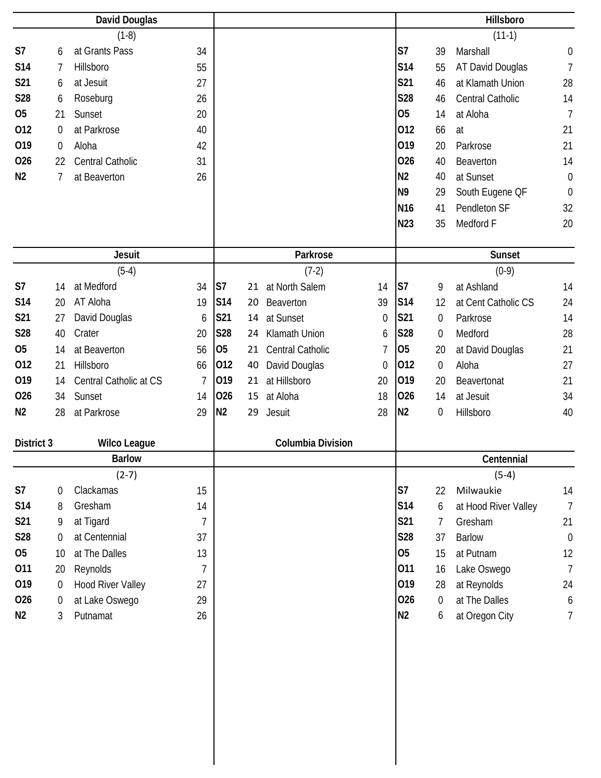|                |                | <b>David Douglas</b>     |                |                |    |                          |    |                 |                  | Hillsboro            |                  |
|----------------|----------------|--------------------------|----------------|----------------|----|--------------------------|----|-----------------|------------------|----------------------|------------------|
|                |                | $(1-8)$                  |                |                |    |                          |    |                 |                  | $(11-1)$             |                  |
| S7             | 6              | at Grants Pass           | 34             |                |    |                          |    | S7              | 39               | Marshall             | $\boldsymbol{0}$ |
| S14            | 7              | Hillsboro                | 55             |                |    |                          |    | S14             | 55               | AT David Douglas     | $\overline{7}$   |
| S21            | 6              | at Jesuit                | 27             |                |    |                          |    | S21             | 46               | at Klamath Union     | 28               |
| S28            | 6              | Roseburg                 | 26             |                |    |                          |    | S28             | 46               | Central Catholic     | 14               |
| <b>O5</b>      | 21             | Sunset                   | 20             |                |    |                          |    | O <sub>5</sub>  | 14               | at Aloha             | $\overline{7}$   |
| 012            | 0              | at Parkrose              | 40             |                |    |                          |    | 012             | 66               | at                   | 21               |
| 019            | 0              | Aloha                    | 42             |                |    |                          |    | 019             | 20               | Parkrose             | 21               |
| 026            | 22             | Central Catholic         | 31             |                |    |                          |    | 026             | 40               | Beaverton            | 14               |
| N <sub>2</sub> | 7              | at Beaverton             | 26             |                |    |                          |    | N <sub>2</sub>  | 40               | at Sunset            | $\theta$         |
|                |                |                          |                |                |    |                          |    | N <sub>9</sub>  | 29               | South Eugene OF      | $\theta$         |
|                |                |                          |                |                |    |                          |    | N <sub>16</sub> | 41               | Pendleton SF         | 32               |
|                |                |                          |                |                |    |                          |    | N23             | 35               | Medford F            | 20               |
|                |                |                          |                |                |    |                          |    |                 |                  |                      |                  |
|                |                | <b>Jesuit</b>            |                |                |    | Parkrose                 |    |                 |                  | Sunset               |                  |
|                |                | $(5-4)$                  |                |                |    | $(7-2)$                  |    |                 |                  | $(0-9)$              |                  |
| S7             | 14             | at Medford               | 34             | S <sub>7</sub> | 21 | at North Salem           | 14 | S7              | 9                | at Ashland           | 14               |
| S14            | 20             | AT Aloha                 | 19             | S14            | 20 | Beaverton                | 39 | <b>S14</b>      | 12               | at Cent Catholic CS  | 24               |
| S21            | 27             | David Douglas            | 6              | <b>S21</b>     | 14 | at Sunset                | 0  | S21             | 0                | Parkrose             | 14               |
| <b>S28</b>     | 40             | Crater                   | 20             | <b>S28</b>     | 24 | Klamath Union            | 6  | <b>S28</b>      | 0                | Medford              | 28               |
| <b>O5</b>      | 14             | at Beaverton             | 56             | 05             | 21 | Central Catholic         | 7  | 05              | 20               | at David Douglas     | 21               |
| 012            | 21             | Hillsboro                | 66             | 012            | 40 | David Douglas            | 0  | 012             | $\boldsymbol{0}$ | Aloha                | 27               |
| 019            | 14             | Central Catholic at CS   | $\overline{1}$ | 019            | 21 | at Hillsboro             | 20 | 019             | 20               | Beavertonat          | 21               |
| 026            | 34             | Sunset                   | 14             | 026            | 15 | at Aloha                 | 18 | 026             | 14               | at Jesuit            | 34               |
| N <sub>2</sub> | 28             | at Parkrose              | 29             | N <sub>2</sub> | 29 | Jesuit                   | 28 | N <sub>2</sub>  | $\boldsymbol{0}$ | Hillsboro            | 40               |
|                |                |                          |                |                |    |                          |    |                 |                  |                      |                  |
| District 3     |                | <b>Wilco League</b>      |                |                |    | <b>Columbia Division</b> |    |                 |                  |                      |                  |
|                |                | <b>Barlow</b>            |                |                |    |                          |    |                 |                  | Centennial           |                  |
|                |                | $(2-7)$                  |                |                |    |                          |    |                 |                  | $(5-4)$              |                  |
| S7             | 0              | Clackamas                | 15             |                |    |                          |    | S7              | 22               | Milwaukie            | 14               |
| <b>S14</b>     | 8              | Gresham                  | 14             |                |    |                          |    | S14             | 6                | at Hood River Valley | $\overline{7}$   |
| S21            | 9              | at Tigard                | 7              |                |    |                          |    | S21             | 7                | Gresham              | 21               |
| <b>S28</b>     | 0              | at Centennial            | 37             |                |    |                          |    | S28             | 37               | <b>Barlow</b>        | $\theta$         |
| 05             | 10             | at The Dalles            | 13             |                |    |                          |    | O <sub>5</sub>  | 15               | at Putnam            | 12               |
| 011            | 20             | Reynolds                 | $\overline{7}$ |                |    |                          |    | 011             | 16               | Lake Oswego          | $\overline{7}$   |
| 019            | 0              | <b>Hood River Valley</b> | 27             |                |    |                          |    | 019             | 28               | at Reynolds          | 24               |
| 026            | $\overline{0}$ | at Lake Oswego           | 29             |                |    |                          |    | 026             | $\overline{0}$   | at The Dalles        | $\boldsymbol{6}$ |
| N <sub>2</sub> | 3              | Putnamat                 | 26             |                |    |                          |    | N2              | 6                | at Oregon City       | $\overline{7}$   |
|                |                |                          |                |                |    |                          |    |                 |                  |                      |                  |
|                |                |                          |                |                |    |                          |    |                 |                  |                      |                  |
|                |                |                          |                |                |    |                          |    |                 |                  |                      |                  |
|                |                |                          |                |                |    |                          |    |                 |                  |                      |                  |
|                |                |                          |                |                |    |                          |    |                 |                  |                      |                  |
|                |                |                          |                |                |    |                          |    |                 |                  |                      |                  |
|                |                |                          |                |                |    |                          |    |                 |                  |                      |                  |
|                |                |                          |                |                |    |                          |    |                 |                  |                      |                  |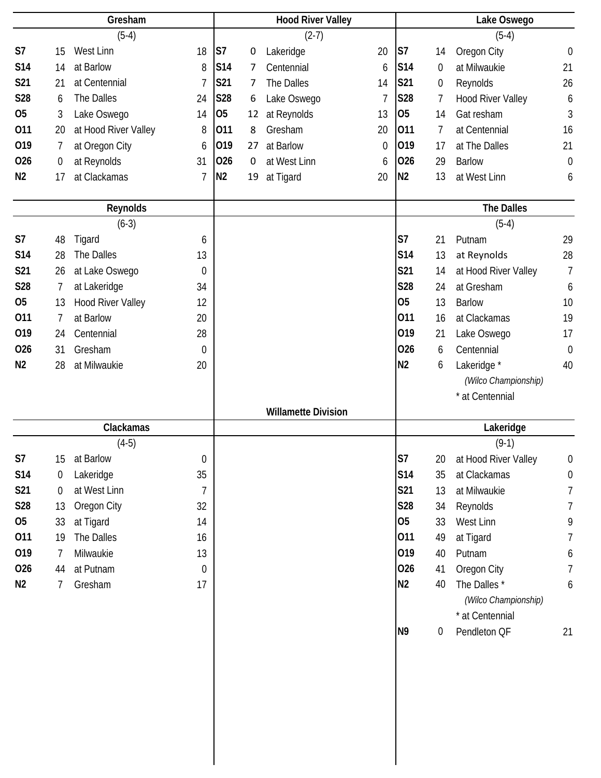|                | Gresham          |                          | <b>Hood River Valley</b> |                |    | Lake Oswego                |                |                |    |                          |                  |
|----------------|------------------|--------------------------|--------------------------|----------------|----|----------------------------|----------------|----------------|----|--------------------------|------------------|
|                |                  | $(5-4)$                  |                          |                |    | $(2-7)$                    |                |                |    | $(5-4)$                  |                  |
| S7             | 15               | West Linn                | 18                       | S7             | 0  | Lakeridge                  | 20             | S <sub>7</sub> | 14 | Oregon City              | $\boldsymbol{0}$ |
| <b>S14</b>     | 14               | at Barlow                | 8                        | S14            | 7  | Centennial                 | 6              | <b>S14</b>     | 0  | at Milwaukie             | 21               |
| S21            | 21               | at Centennial            | $\overline{7}$           | S21            | 7  | The Dalles                 | 14             | S21            | 0  | Reynolds                 | 26               |
| S28            | 6                | The Dalles               | 24                       | <b>S28</b>     | 6  | Lake Oswego                | $\overline{1}$ | <b>S28</b>     | 7  | <b>Hood River Valley</b> | 6                |
| <b>O5</b>      | 3                | Lake Oswego              | 14                       | <b>O5</b>      | 12 | at Reynolds                | 13             | <b>O5</b>      | 14 | Gat resham               | 3                |
| 011            | 20               | at Hood River Valley     | 8                        | 011            | 8  | Gresham                    | 20             | 011            | 7  | at Centennial            | 16               |
| 019            | 7                | at Oregon City           | 6                        | 019            | 27 | at Barlow                  | $\mathbf 0$    | 019            | 17 | at The Dalles            | 21               |
| 026            | $\boldsymbol{0}$ | at Reynolds              | 31                       | 026            | 0  | at West Linn               | 6              | 026            | 29 | <b>Barlow</b>            | $\mathbf 0$      |
| N <sub>2</sub> | 17               | at Clackamas             | $\overline{1}$           | N <sub>2</sub> | 19 | at Tigard                  | 20             | N <sub>2</sub> | 13 | at West Linn             | 6                |
|                |                  | Reynolds                 |                          |                |    |                            |                |                |    | <b>The Dalles</b>        |                  |
|                |                  | $(6-3)$                  |                          |                |    |                            |                |                |    | $(5-4)$                  |                  |
| S7             | 48               | Tigard                   | 6                        |                |    |                            |                | S7             | 21 | Putnam                   | 29               |
| <b>S14</b>     | 28               | The Dalles               | 13                       |                |    |                            |                | S14            | 13 | at Reynolds              | 28               |
| S21            | 26               | at Lake Oswego           | $\boldsymbol{0}$         |                |    |                            |                | S21            | 14 | at Hood River Valley     | $\overline{7}$   |
| <b>S28</b>     | $\overline{7}$   | at Lakeridge             | 34                       |                |    |                            |                | S28            | 24 | at Gresham               | 6                |
| <b>O5</b>      | 13               | <b>Hood River Valley</b> | 12                       |                |    |                            |                | O <sub>5</sub> | 13 | <b>Barlow</b>            | 10               |
| 011            | 7                | at Barlow                | 20                       |                |    |                            |                | 011            | 16 | at Clackamas             | 19               |
| 019            | 24               | Centennial               | 28                       |                |    |                            |                | 019            | 21 | Lake Oswego              | 17               |
| 026            | 31               | Gresham                  | $\mathbf 0$              |                |    |                            |                | 026            | 6  | Centennial               | $\theta$         |
| N <sub>2</sub> | 28               | at Milwaukie             | 20                       |                |    |                            |                | N <sub>2</sub> | 6  | Lakeridge *              | 40               |
|                |                  |                          |                          |                |    |                            |                |                |    | (Wilco Championship)     |                  |
|                |                  |                          |                          |                |    |                            |                |                |    | * at Centennial          |                  |
|                |                  |                          |                          |                |    | <b>Willamette Division</b> |                |                |    |                          |                  |
|                |                  | Clackamas                |                          |                |    |                            |                |                |    | Lakeridge                |                  |
|                |                  | $(4-5)$                  |                          |                |    |                            |                |                |    | $(9-1)$                  |                  |
| S7             | 15               | at Barlow                | 0                        |                |    |                            |                | S <sub>7</sub> | 20 | at Hood River Valley     | $\mathbf 0$      |
| <b>S14</b>     | 0                | Lakeridge                | 35                       |                |    |                            |                | S14            | 35 | at Clackamas             | $\boldsymbol{0}$ |
| S21            | $\mathbf 0$      | at West Linn             | 7                        |                |    |                            |                | S21            | 13 | at Milwaukie             | 7                |
| S28            | 13               | Oregon City              | 32                       |                |    |                            |                | <b>S28</b>     | 34 | Reynolds                 | 7                |
| 05             | 33               | at Tigard                | 14                       |                |    |                            |                | 05             | 33 | West Linn                | 9                |
| 011            | 19               | The Dalles               | 16                       |                |    |                            |                | 011            | 49 | at Tigard                | 7                |
| 019            | 7                | Milwaukie                | 13                       |                |    |                            |                | 019            | 40 | Putnam                   | 6                |
| 026            | 44               | at Putnam                | 0                        |                |    |                            |                | 026            | 41 | Oregon City              | $\overline{7}$   |
| N <sub>2</sub> | 7                | Gresham                  | 17                       |                |    |                            |                | N <sub>2</sub> | 40 | The Dalles *             | 6                |
|                |                  |                          |                          |                |    |                            |                |                |    | (Wilco Championship)     |                  |
|                |                  |                          |                          |                |    |                            |                |                |    | * at Centennial          |                  |
|                |                  |                          |                          |                |    |                            |                | N <sub>9</sub> | 0  | Pendleton QF             | 21               |
|                |                  |                          |                          |                |    |                            |                |                |    |                          |                  |
|                |                  |                          |                          |                |    |                            |                |                |    |                          |                  |
|                |                  |                          |                          |                |    |                            |                |                |    |                          |                  |
|                |                  |                          |                          |                |    |                            |                |                |    |                          |                  |
|                |                  |                          |                          |                |    |                            |                |                |    |                          |                  |
|                |                  |                          |                          |                |    |                            |                |                |    |                          |                  |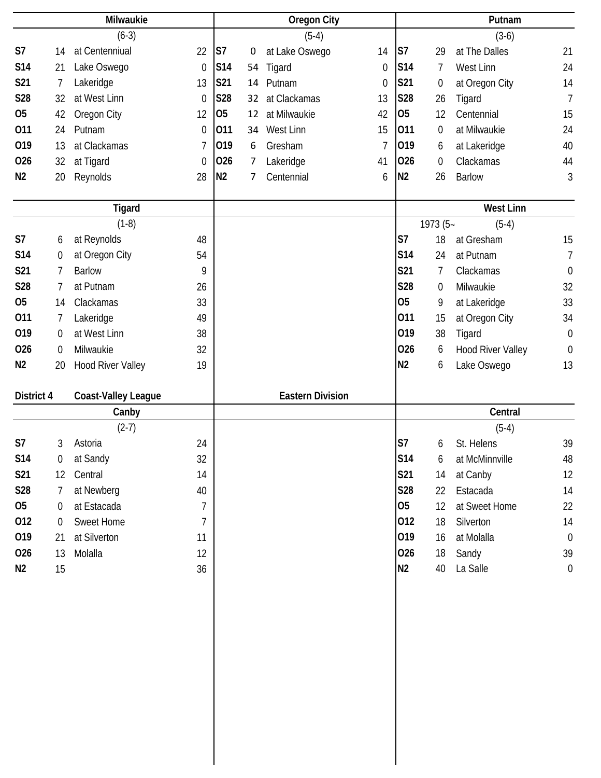|                |                  | Milwaukie                |                  |                |                | <b>Oregon City</b>      |                  |                |                  | Putnam                   |                  |
|----------------|------------------|--------------------------|------------------|----------------|----------------|-------------------------|------------------|----------------|------------------|--------------------------|------------------|
|                |                  | $(6-3)$                  |                  |                |                | $(5-4)$                 |                  |                |                  | $(3-6)$                  |                  |
| S7             | 14               | at Centenniual           | 22               | S7             | 0              | at Lake Oswego          | 14               | S <sub>7</sub> | 29               | at The Dalles            | 21               |
| <b>S14</b>     | 21               | Lake Oswego              | $\mathbf 0$      | S14            | 54             | Tigard                  | 0                | S14            | 7                | West Linn                | 24               |
| S21            | $\overline{1}$   | Lakeridge                | 13               | <b>S21</b>     | 14             | Putnam                  | $\boldsymbol{0}$ | <b>S21</b>     | 0                | at Oregon City           | 14               |
| <b>S28</b>     | 32               | at West Linn             | $\mathbf 0$      | S28            | 32             | at Clackamas            | 13               | <b>S28</b>     | 26               | Tigard                   | $\overline{7}$   |
| <b>O5</b>      | 42               | Oregon City              | 12               | 05             | 12             | at Milwaukie            | 42               | 05             | 12               | Centennial               | 15               |
| 011            | 24               | Putnam                   | $\boldsymbol{0}$ | 011            | 34             | West Linn               | 15               | 011            | $\boldsymbol{0}$ | at Milwaukie             | 24               |
| 019            | 13               | at Clackamas             | $\overline{1}$   | 019            | 6              | Gresham                 | 7                | 019            | 6                | at Lakeridge             | 40               |
| 026            | 32               | at Tigard                | $\mathbf 0$      | 026            | $\overline{7}$ | Lakeridge               | 41               | 026            | $\boldsymbol{0}$ | Clackamas                | 44               |
| N <sub>2</sub> | 20               | Reynolds                 | 28               | N <sub>2</sub> | 7              | Centennial              | 6                | N <sub>2</sub> | 26               | <b>Barlow</b>            | 3                |
|                |                  |                          |                  |                |                |                         |                  |                |                  |                          |                  |
|                |                  | <b>Tigard</b>            |                  |                |                |                         |                  |                |                  | <b>West Linn</b>         |                  |
|                |                  | $(1-8)$                  |                  |                |                |                         |                  |                | 1973 (5-         | $(5-4)$                  |                  |
| S7             | 6                | at Reynolds              | 48               |                |                |                         |                  | S7             | 18               | at Gresham               | 15               |
| S14            | $\boldsymbol{0}$ | at Oregon City           | 54               |                |                |                         |                  | S14            | 24               | at Putnam                | 7                |
| <b>S21</b>     | $\overline{7}$   | <b>Barlow</b>            | 9                |                |                |                         |                  | S21            | 7                | Clackamas                | $\boldsymbol{0}$ |
| S28            | $\overline{7}$   | at Putnam                | 26               |                |                |                         |                  | S28            | $\mathbf 0$      | Milwaukie                | 32               |
| <b>O5</b>      | 14               | Clackamas                | 33               |                |                |                         |                  | 05             | 9                | at Lakeridge             | 33               |
| 011            | 7                | Lakeridge                | 49               |                |                |                         |                  | 011            | 15               | at Oregon City           | 34               |
| 019            | $\boldsymbol{0}$ | at West Linn             | 38               |                |                |                         |                  | 019            | 38               | Tigard                   | $\boldsymbol{0}$ |
| 026            | $\overline{0}$   | Milwaukie                | 32               |                |                |                         |                  | 026            | 6                | <b>Hood River Valley</b> | $\mathbf 0$      |
| N <sub>2</sub> | 20               | <b>Hood River Valley</b> | 19               |                |                |                         |                  | N <sub>2</sub> | 6                | Lake Oswego              | 13               |
|                |                  |                          |                  |                |                |                         |                  |                |                  |                          |                  |
| District 4     |                  | Coast-Valley League      |                  |                |                | <b>Eastern Division</b> |                  |                |                  |                          |                  |
|                |                  | Canby                    |                  |                |                |                         |                  |                |                  | Central                  |                  |
|                |                  | $(2-7)$                  |                  |                |                |                         |                  |                |                  | $(5-4)$                  |                  |
| S7             | 3                | Astoria                  | 24               |                |                |                         |                  | S7             | 6                | St. Helens               | 39               |
| S14            | 0                | at Sandy                 | 32               |                |                |                         |                  | <b>S14</b>     | 6                | at McMinnville           | 48               |
| S21            | 12               | Central                  | 14               |                |                |                         |                  | S21            | 14               | at Canby                 | 12               |
| S28            | 7                | at Newberg               | 40               |                |                |                         |                  | S28            | 22               | Estacada                 | 14               |
| 05             | $\mathbf 0$      | at Estacada              | $\overline{7}$   |                |                |                         |                  | 05             | 12               | at Sweet Home            | 22               |
| 012            | 0                | Sweet Home               | $\overline{7}$   |                |                |                         |                  | 012            | 18               | Silverton                | 14               |
| 019            | 21               | at Silverton             | 11               |                |                |                         |                  | 019            | 16               | at Molalla               | $\mathbf 0$      |
| 026            | 13               | Molalla                  | 12               |                |                |                         |                  | 026            | 18               | Sandy                    | 39               |
| N <sub>2</sub> | 15               |                          | 36               |                |                |                         |                  | N2             | 40               | La Salle                 | $\boldsymbol{0}$ |
|                |                  |                          |                  |                |                |                         |                  |                |                  |                          |                  |
|                |                  |                          |                  |                |                |                         |                  |                |                  |                          |                  |
|                |                  |                          |                  |                |                |                         |                  |                |                  |                          |                  |
|                |                  |                          |                  |                |                |                         |                  |                |                  |                          |                  |
|                |                  |                          |                  |                |                |                         |                  |                |                  |                          |                  |
|                |                  |                          |                  |                |                |                         |                  |                |                  |                          |                  |
|                |                  |                          |                  |                |                |                         |                  |                |                  |                          |                  |
|                |                  |                          |                  |                |                |                         |                  |                |                  |                          |                  |
|                |                  |                          |                  |                |                |                         |                  |                |                  |                          |                  |
|                |                  |                          |                  |                |                |                         |                  |                |                  |                          |                  |
|                |                  |                          |                  |                |                |                         |                  |                |                  |                          |                  |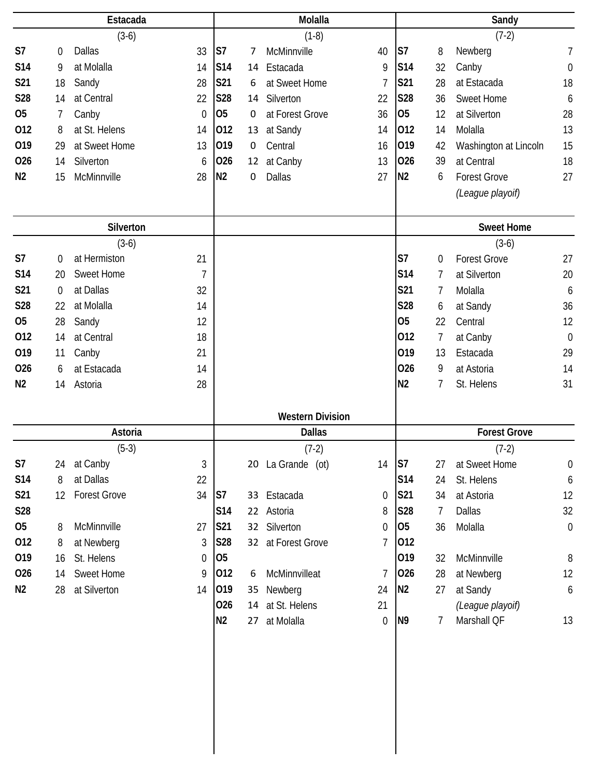|                | Estacada       |                     | Molalla        |                |             |                         | Sandy            |                |                  |                       |                  |
|----------------|----------------|---------------------|----------------|----------------|-------------|-------------------------|------------------|----------------|------------------|-----------------------|------------------|
|                |                | $(3-6)$             |                |                |             | $(1-8)$                 |                  |                |                  | $(7-2)$               |                  |
| S7             | $\mathbf 0$    | <b>Dallas</b>       | 33             | S <sub>7</sub> | 7           | McMinnville             | 40               | S7             | 8                | Newberg               | $\overline{1}$   |
| S14            | 9              | at Molalla          | 14             | <b>S14</b>     | 14          | Estacada                | 9                | <b>S14</b>     | 32               | Canby                 | $\boldsymbol{0}$ |
| S21            | 18             | Sandy               | 28             | <b>S21</b>     | 6           | at Sweet Home           | 7                | S21            | 28               | at Estacada           | 18               |
| S28            | 14             | at Central          | 22             | <b>S28</b>     | 14          | Silverton               | 22               | <b>S28</b>     | 36               | <b>Sweet Home</b>     | 6                |
| <b>O5</b>      | 7              | Canby               | $\overline{0}$ | 05             | $\mathbf 0$ | at Forest Grove         | 36               | <b>O5</b>      | 12               | at Silverton          | 28               |
| 012            | 8              | at St. Helens       | 14             | 012            | 13          | at Sandy                | 14               | 012            | 14               | Molalla               | 13               |
| 019            | 29             | at Sweet Home       | 13             | 019            | 0           | Central                 | 16               | 019            | 42               | Washington at Lincoln | 15               |
| 026            | 14             | Silverton           | 6              | 026            | 12          | at Canby                | 13               | 026            | 39               | at Central            | 18               |
| N <sub>2</sub> | 15             | McMinnville         | 28             | N <sub>2</sub> | 0           | Dallas                  | 27               | N <sub>2</sub> | 6                | <b>Forest Grove</b>   | 27               |
|                |                |                     |                |                |             |                         |                  |                |                  | (League playoif)      |                  |
|                |                | Silverton           |                |                |             |                         |                  |                |                  | <b>Sweet Home</b>     |                  |
|                |                | $(3-6)$             |                |                |             |                         |                  |                |                  | $(3-6)$               |                  |
| S7             | $\overline{0}$ | at Hermiston        | 21             |                |             |                         |                  | S7             | $\boldsymbol{0}$ | <b>Forest Grove</b>   | 27               |
| S14            | 20             | <b>Sweet Home</b>   | $\overline{1}$ |                |             |                         |                  | S14            | $\overline{7}$   | at Silverton          | 20               |
| S21            | $\overline{0}$ | at Dallas           | 32             |                |             |                         |                  | S21            | 7                | Molalla               | 6                |
| <b>S28</b>     | 22             | at Molalla          | 14             |                |             |                         |                  | <b>S28</b>     | 6                | at Sandy              | 36               |
| 05             | 28             | Sandy               | 12             |                |             |                         |                  | <b>O5</b>      | 22               | Central               | 12               |
| 012            | 14             | at Central          | 18             |                |             |                         |                  | 012            | 7                | at Canby              | $\mathbf 0$      |
| 019            | 11             | Canby               | 21             |                |             |                         |                  | 019            | 13               | Estacada              | 29               |
| 026            | 6              | at Estacada         | 14             |                |             |                         |                  | 026            | 9                | at Astoria            | 14               |
| N <sub>2</sub> | 14             | Astoria             | 28             |                |             |                         |                  | N <sub>2</sub> | 7                | St. Helens            | 31               |
|                |                |                     |                |                |             | <b>Western Division</b> |                  |                |                  |                       |                  |
|                |                | Astoria             |                |                |             | <b>Dallas</b>           |                  |                |                  | <b>Forest Grove</b>   |                  |
|                |                | $(5-3)$             |                |                |             | $(7-2)$                 |                  |                |                  | $(7-2)$               |                  |
| S7             |                | 24 at Canby         | 3              |                |             | 20 La Grande (ot)       | 14               | $\mathsf{S}7$  | 27               | at Sweet Home         | $\boldsymbol{0}$ |
| <b>S14</b>     | 8              | at Dallas           | 22             |                |             |                         |                  | S14            | 24               | St. Helens            | 6                |
| <b>S21</b>     | 12             | <b>Forest Grove</b> | 34             | S7             |             | 33 Estacada             | 0                | S21            | 34               | at Astoria            | 12               |
| <b>S28</b>     |                |                     |                | S14            |             | 22 Astoria              | 8                | S28            | $\overline{7}$   | <b>Dallas</b>         | 32               |
| 05             | 8              | McMinnville         | 27             | S21            |             | 32 Silverton            | 0                | 05             | 36               | Molalla               | $\mathbf 0$      |
| 012            | 8              | at Newberg          | 3              | <b>S28</b>     |             | 32 at Forest Grove      | 7                | 012            |                  |                       |                  |
| 019            | 16             | St. Helens          | 0              | 05             |             |                         |                  | 019            | 32               | McMinnville           | 8                |
| 026            | 14             | Sweet Home          | 9              | 012            | 6           | McMinnvilleat           | $\overline{1}$   | 026            | 28               | at Newberg            | 12               |
| N <sub>2</sub> | 28             | at Silverton        | 14             | 019            |             | 35 Newberg              | 24               | N <sub>2</sub> | 27               | at Sandy              | 6                |
|                |                |                     |                | 026            |             | 14 at St. Helens        | 21               |                |                  | (League playoif)      |                  |
|                |                |                     |                | N <sub>2</sub> |             | 27 at Molalla           | $\boldsymbol{0}$ | N <sub>9</sub> | $\overline{7}$   | Marshall QF           | 13               |
|                |                |                     |                |                |             |                         |                  |                |                  |                       |                  |
|                |                |                     |                |                |             |                         |                  |                |                  |                       |                  |
|                |                |                     |                |                |             |                         |                  |                |                  |                       |                  |
|                |                |                     |                |                |             |                         |                  |                |                  |                       |                  |
|                |                |                     |                |                |             |                         |                  |                |                  |                       |                  |
|                |                |                     |                |                |             |                         |                  |                |                  |                       |                  |
|                |                |                     |                |                |             |                         |                  |                |                  |                       |                  |
|                |                |                     |                |                |             |                         |                  |                |                  |                       |                  |
|                |                |                     |                |                |             |                         |                  |                |                  |                       |                  |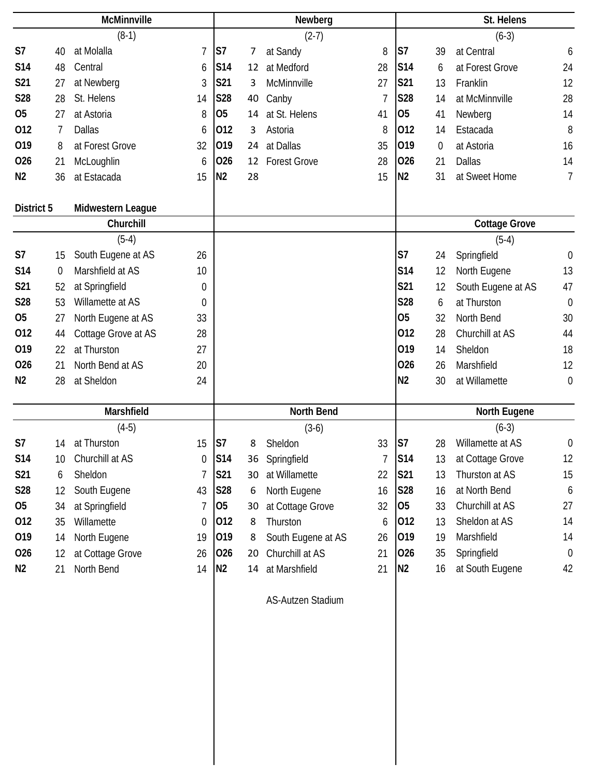|                | McMinnville      |                     |                |                | Newberg |                     |                |                | St. Helens     |                      |                  |  |
|----------------|------------------|---------------------|----------------|----------------|---------|---------------------|----------------|----------------|----------------|----------------------|------------------|--|
|                |                  | $(8-1)$             |                |                |         | $(2-7)$             |                |                |                | $(6-3)$              |                  |  |
| S <sub>7</sub> | 40               | at Molalla          | $\overline{7}$ | S7             | 7       | at Sandy            | 8              | S7             | 39             | at Central           | 6                |  |
| <b>S14</b>     | 48               | Central             | 6              | S14            | 12      | at Medford          | 28             | S14            | 6              | at Forest Grove      | 24               |  |
| S21            | 27               | at Newberg          | 3              | S21            | 3       | McMinnville         | 27             | S21            | 13             | Franklin             | 12               |  |
| <b>S28</b>     | 28               | St. Helens          | 14             | S28            | 40      | Canby               | $\overline{1}$ | S28            | 14             | at McMinnville       | 28               |  |
| 05             | 27               | at Astoria          | 8              | <b>O5</b>      | 14      | at St. Helens       | 41             | 05             | 41             | Newberg              | 14               |  |
| 012            | 7                | <b>Dallas</b>       | 6              | 012            | 3       | Astoria             | 8              | 012            | 14             | Estacada             | 8                |  |
| 019            | 8                | at Forest Grove     | 32             | 019            | 24      | at Dallas           | 35             | 019            | $\overline{0}$ | at Astoria           | 16               |  |
| 026            | 21               | McLoughlin          | 6              | 026            | 12      | <b>Forest Grove</b> | 28             | 026            | 21             | <b>Dallas</b>        | 14               |  |
| N <sub>2</sub> | 36               | at Estacada         | 15             | N <sub>2</sub> | 28      |                     | 15             | N <sub>2</sub> | 31             | at Sweet Home        | $\overline{1}$   |  |
| District 5     |                  | Midwestern League   |                |                |         |                     |                |                |                |                      |                  |  |
|                |                  | Churchill           |                |                |         |                     |                |                |                | <b>Cottage Grove</b> |                  |  |
|                |                  | $(5-4)$             |                |                |         |                     |                |                |                | $(5-4)$              |                  |  |
| S7             | 15               | South Eugene at AS  | 26             |                |         |                     |                | S <sub>7</sub> | 24             | Springfield          | $\boldsymbol{0}$ |  |
| <b>S14</b>     | $\boldsymbol{0}$ | Marshfield at AS    | 10             |                |         |                     |                | <b>S14</b>     | 12             | North Eugene         | 13               |  |
| S21            | 52               | at Springfield      | 0              |                |         |                     |                | S21            | 12             | South Eugene at AS   | 47               |  |
| S28            | 53               | Willamette at AS    | 0              |                |         |                     |                | <b>S28</b>     | 6              | at Thurston          | $\boldsymbol{0}$ |  |
| <b>O5</b>      | 27               | North Eugene at AS  | 33             |                |         |                     |                | O <sub>5</sub> | 32             | North Bend           | 30               |  |
| 012            | 44               | Cottage Grove at AS | 28             |                |         |                     |                | 012            | 28             | Churchill at AS      | 44               |  |
| 019            | 22               | at Thurston         | 27             |                |         |                     |                | 019            | 14             | Sheldon              | 18               |  |
| 026            | 21               | North Bend at AS    | 20             |                |         |                     |                | 026            | 26             | Marshfield           | 12               |  |
| N <sub>2</sub> | 28               | at Sheldon          | 24             |                |         |                     |                | N <sub>2</sub> | 30             | at Willamette        | $\mathbf 0$      |  |
|                |                  | Marshfield          |                |                |         | <b>North Bend</b>   |                |                |                | <b>North Eugene</b>  |                  |  |
|                |                  | $(4-5)$             |                |                |         | $(3-6)$             |                |                |                | $(6-3)$              |                  |  |
| S <sub>7</sub> | 14               | at Thurston         | 15             | S <sub>7</sub> | 8       | Sheldon             | 33             | S7             | 28             | Willamette at AS     | $\boldsymbol{0}$ |  |
| <b>S14</b>     | 10               | Churchill at AS     | 0              | <b>S14</b>     | 36      | Springfield         | $\overline{1}$ | <b>S14</b>     | 13             | at Cottage Grove     | 12               |  |
| S21            | 6                | Sheldon             | 7              | S21            | 30      | at Willamette       | 22             | S21            | 13             | Thurston at AS       | 15               |  |
| <b>S28</b>     | 12               | South Eugene        | 43             | S28            | 6       | North Eugene        | 16             | <b>S28</b>     | 16             | at North Bend        | 6                |  |
| 05             | 34               | at Springfield      | 7              | 05             | 30      | at Cottage Grove    | 32             | 05             | 33             | Churchill at AS      | 27               |  |
| 012            | 35               | Willamette          | 0              | 012            | 8       | Thurston            | 6              | 012            | 13             | Sheldon at AS        | 14               |  |
| 019            | 14               | North Eugene        | 19             | 019            | 8       | South Eugene at AS  | 26             | 019            | 19             | Marshfield           | 14               |  |
| 026            | 12               | at Cottage Grove    | 26             | 026            | 20      | Churchill at AS     | 21             | 026            | 35             | Springfield          | $\boldsymbol{0}$ |  |
| N <sub>2</sub> | 21               | North Bend          | 14             | N <sub>2</sub> | 14      | at Marshfield       | 21             | N <sub>2</sub> | 16             | at South Eugene      | 42               |  |
|                |                  |                     |                |                |         |                     |                |                |                |                      |                  |  |

AS-Autzen Stadium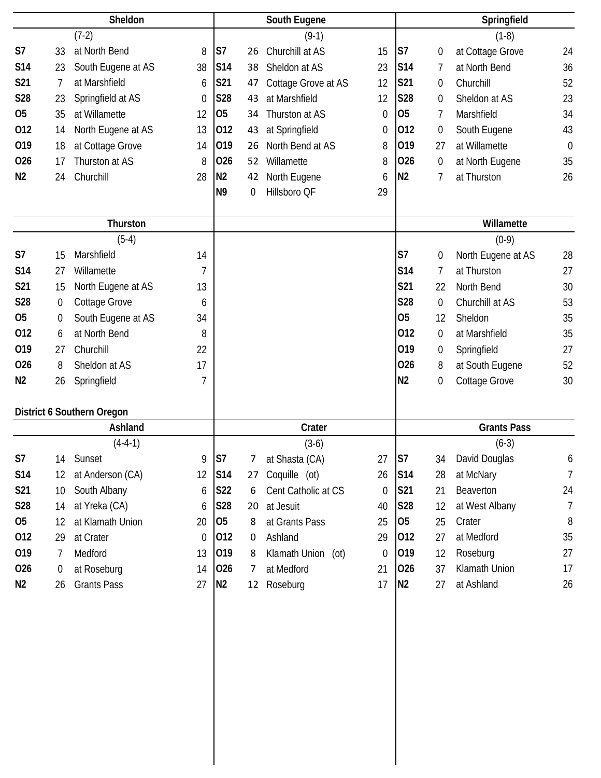| Sheldon        |                  |                            | South Eugene |                 |    |                     | Springfield |                 |                  |                    |             |
|----------------|------------------|----------------------------|--------------|-----------------|----|---------------------|-------------|-----------------|------------------|--------------------|-------------|
|                |                  | $(7-2)$                    |              |                 |    | $(9-1)$             |             |                 |                  | $(1-8)$            |             |
| S7             | 33               | at North Bend              | 8            | S7              | 26 | Churchill at AS     | 15          | S7              | $\boldsymbol{0}$ | at Cottage Grove   | 24          |
| <b>S14</b>     | 23               | South Eugene at AS         | 38           | S14             | 38 | Sheldon at AS       | 23          | S14             | 7                | at North Bend      | 36          |
| S21            | 7                | at Marshfield              | 6            | S21             | 47 | Cottage Grove at AS | 12          | <b>S21</b>      | 0                | Churchill          | 52          |
| S28            | 23               | Springfield at AS          | $\mathbf 0$  | S28             | 43 | at Marshfield       | 12          | <b>S28</b>      | $\boldsymbol{0}$ | Sheldon at AS      | 23          |
| O <sub>5</sub> | 35               | at Willamette              | 12           | 05              | 34 | Thurston at AS      | $\theta$    | 05              | 7                | Marshfield         | 34          |
| 012            | 14               | North Eugene at AS         | 13           | 012             | 43 | at Springfield      | 0           | 012             | 0                | South Eugene       | 43          |
| 019            | 18               | at Cottage Grove           | 14           | 019             | 26 | North Bend at AS    | 8           | 019             | 27               | at Willamette      | $\mathbf 0$ |
| 026            | 17               | Thurston at AS             | 8            | 026             | 52 | Willamette          | 8           | 026             | $\boldsymbol{0}$ | at North Eugene    | 35          |
| N <sub>2</sub> | 24               | Churchill                  | 28           | N <sub>2</sub>  | 42 | North Eugene        | 6           | N <sub>2</sub>  | 7                | at Thurston        | 26          |
|                |                  |                            |              | N <sub>9</sub>  | 0  | Hillsboro QF        | 29          |                 |                  |                    |             |
|                |                  |                            |              |                 |    |                     |             |                 |                  |                    |             |
|                |                  | Thurston                   |              |                 |    |                     |             |                 |                  | Willamette         |             |
|                |                  | $(5-4)$                    |              |                 |    |                     |             |                 |                  | $(0-9)$            |             |
| S7             | 15               | Marshfield                 | 14           |                 |    |                     |             | S7              | 0                | North Eugene at AS | 28          |
| S14            | 27               | Willamette                 | 7            |                 |    |                     |             | <b>S14</b>      | 7                | at Thurston        | 27          |
| S21            | 15               | North Eugene at AS         | 13           |                 |    |                     |             | S21             | 22               | North Bend         | 30          |
| S28            | 0                | Cottage Grove              | 6            |                 |    |                     |             | <b>S28</b>      | 0                | Churchill at AS    | 53          |
| O <sub>5</sub> | 0                | South Eugene at AS         | 34           |                 |    |                     |             | 05              | 12               | Sheldon            | 35          |
| 012            | 6                | at North Bend              | 8            |                 |    |                     |             | 012             | 0                | at Marshfield      | 35          |
| 019            | 27               | Churchill                  | 22           |                 |    |                     |             | 019             | 0                | Springfield        | 27          |
| 026            | 8                | Sheldon at AS              | 17           |                 |    |                     |             | 026             | 8                | at South Eugene    | 52          |
| N <sub>2</sub> | 26               | Springfield                | 7            |                 |    |                     |             | N <sub>2</sub>  | $\boldsymbol{0}$ | Cottage Grove      | 30          |
|                |                  | District 6 Southern Oregon |              |                 |    |                     |             |                 |                  |                    |             |
|                |                  | Ashland                    |              |                 |    | Crater              |             |                 |                  | <b>Grants Pass</b> |             |
|                |                  | $(4-4-1)$                  |              |                 |    | $(3-6)$             |             |                 |                  | $(6-3)$            |             |
| S7             | 14               | Sunset                     | 9            | S <sub>7</sub>  | 7  | at Shasta (CA)      | 27          | S7              | 34               | David Douglas      | 6           |
| <b>S14</b>     | 12               | at Anderson (CA)           | 12           | S <sub>14</sub> | 27 | Coquille (ot)       | 26          | <b>S14</b>      | 28               | at McNary          | 7           |
| <b>S21</b>     | 10               | South Albany               | 6            | <b>S22</b>      | 6  | Cent Catholic at CS | 0           | S21             | 21               | Beaverton          | 24          |
| <b>S28</b>     | 14               | at Yreka (CA)              | 6            | <b>S28</b>      | 20 | at Jesuit           | 40          | S <sub>28</sub> | 12               | at West Albany     | 7           |
| 05             | 12               | at Klamath Union           | 20           | 05              | 8  | at Grants Pass      | 25          | 05              | 25               | Crater             | 8           |
| 012            | 29               | at Crater                  | 0            | 012             | 0  | Ashland             | 29          | 012             | 27               | at Medford         | 35          |
| 019            | 7                | Medford                    | 13           | 019             | 8  | Klamath Union (ot)  | 0           | 019             | 12               | Roseburg           | 27          |
| 026            | $\boldsymbol{0}$ | at Roseburg                | 14           | 026             | 7  | at Medford          | 21          | 026             | 37               | Klamath Union      | 17          |
| N <sub>2</sub> | 26               | <b>Grants Pass</b>         | 27           | N <sub>2</sub>  |    | 12 Roseburg         | 17          | N <sub>2</sub>  | 27               | at Ashland         | 26          |
|                |                  |                            |              |                 |    |                     |             |                 |                  |                    |             |
|                |                  |                            |              |                 |    |                     |             |                 |                  |                    |             |
|                |                  |                            |              |                 |    |                     |             |                 |                  |                    |             |
|                |                  |                            |              |                 |    |                     |             |                 |                  |                    |             |
|                |                  |                            |              |                 |    |                     |             |                 |                  |                    |             |
|                |                  |                            |              |                 |    |                     |             |                 |                  |                    |             |
|                |                  |                            |              |                 |    |                     |             |                 |                  |                    |             |
|                |                  |                            |              |                 |    |                     |             |                 |                  |                    |             |
|                |                  |                            |              |                 |    |                     |             |                 |                  |                    |             |
|                |                  |                            |              |                 |    |                     |             |                 |                  |                    |             |
|                |                  |                            |              |                 |    |                     |             |                 |                  |                    |             |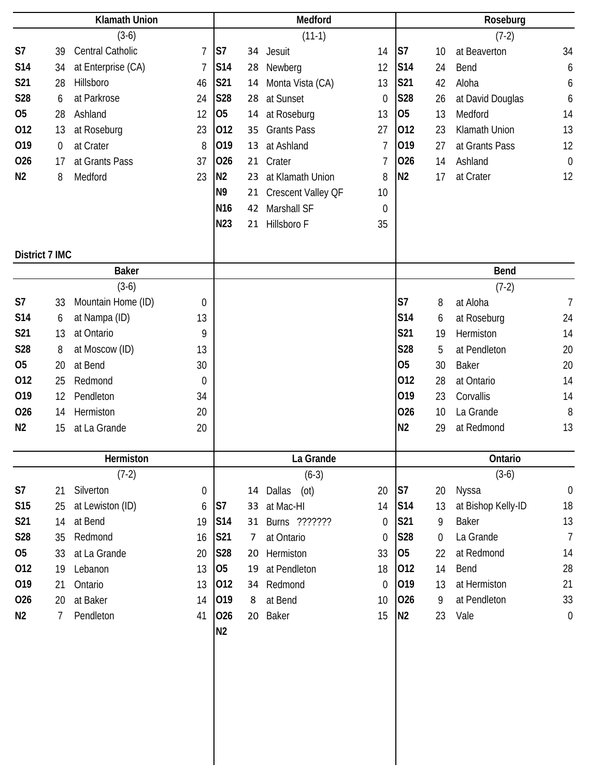| <b>Klamath Union</b> |                | Medford            |                |                 |    | Roseburg                  |                  |                |                |                    |                  |
|----------------------|----------------|--------------------|----------------|-----------------|----|---------------------------|------------------|----------------|----------------|--------------------|------------------|
|                      |                | $(3-6)$            |                |                 |    | $(11-1)$                  |                  |                |                | $(7-2)$            |                  |
| S7                   | 39             | Central Catholic   | $\overline{7}$ | S7              |    | 34 Jesuit                 | 14               | S7             | 10             | at Beaverton       | 34               |
| S14                  | 34             | at Enterprise (CA) | $\overline{1}$ | S14             | 28 | Newberg                   | 12               | S14            | 24             | Bend               | 6                |
| S21                  | 28             | Hillsboro          | 46             | S21             | 14 | Monta Vista (CA)          | 13               | <b>S21</b>     | 42             | Aloha              | 6                |
| S28                  | 6              | at Parkrose        | 24             | <b>S28</b>      | 28 | at Sunset                 | 0                | S28            | 26             | at David Douglas   | 6                |
| 05                   | 28             | Ashland            | 12             | O <sub>5</sub>  | 14 | at Roseburg               | 13               | 05             | 13             | Medford            | 14               |
| 012                  | 13             | at Roseburg        | 23             | 012             | 35 | <b>Grants Pass</b>        | 27               | 012            | 23             | Klamath Union      | 13               |
| 019                  | $\mathbf 0$    | at Crater          | 8              | 019             | 13 | at Ashland                | $\overline{7}$   | 019            | 27             | at Grants Pass     | 12               |
| 026                  | 17             | at Grants Pass     | 37             | 026             |    | 21 Crater                 | $\overline{7}$   | 026            | 14             | Ashland            | $\boldsymbol{0}$ |
| N <sub>2</sub>       | 8              | Medford            | 23             | N <sub>2</sub>  | 23 | at Klamath Union          | 8                | N <sub>2</sub> | 17             | at Crater          | 12               |
|                      |                |                    |                | N <sub>9</sub>  | 21 | <b>Crescent Valley QF</b> | 10               |                |                |                    |                  |
|                      |                |                    |                | N <sub>16</sub> | 42 | Marshall SF               | 0                |                |                |                    |                  |
|                      |                |                    |                | N23             | 21 | Hillsboro F               | 35               |                |                |                    |                  |
|                      | District 7 IMC |                    |                |                 |    |                           |                  |                |                |                    |                  |
|                      |                | <b>Baker</b>       |                |                 |    |                           |                  |                |                | <b>Bend</b>        |                  |
|                      |                | $(3-6)$            |                |                 |    |                           |                  |                |                | $(7-2)$            |                  |
| S7                   | 33             | Mountain Home (ID) | 0              |                 |    |                           |                  | S <sub>7</sub> | 8              | at Aloha           | $\overline{7}$   |
| S14                  | 6              | at Nampa (ID)      | 13             |                 |    |                           |                  | S14            | 6              | at Roseburg        | 24               |
| S21                  | 13             | at Ontario         | 9              |                 |    |                           |                  | <b>S21</b>     | 19             | Hermiston          | 14               |
| S28                  | 8              | at Moscow (ID)     | 13             |                 |    |                           |                  | <b>S28</b>     | 5              | at Pendleton       | 20               |
| 05                   | 20             | at Bend            | 30             |                 |    |                           |                  | <b>O5</b>      | 30             | <b>Baker</b>       | 20               |
| 012                  | 25             | Redmond            | $\theta$       |                 |    |                           |                  | 012            | 28             | at Ontario         | 14               |
| 019                  | 12             | Pendleton          | 34             |                 |    |                           |                  | 019            | 23             | Corvallis          | 14               |
| 026                  | 14             | Hermiston          | 20             |                 |    |                           |                  | 026            | 10             | La Grande          | 8                |
| N <sub>2</sub>       | 15             | at La Grande       | 20             |                 |    |                           |                  | N <sub>2</sub> | 29             | at Redmond         | 13               |
|                      |                | Hermiston          |                |                 |    | La Grande                 |                  |                |                | Ontario            |                  |
|                      |                | $(7-2)$            |                |                 |    | $(6-3)$                   |                  |                |                | $(3-6)$            |                  |
| S7                   | 21             | Silverton          | 0              |                 |    | (ot)<br>14 Dallas         | 20               | S7             | 20             | Nyssa              | $\boldsymbol{0}$ |
| S15                  | 25             | at Lewiston (ID)   | 6              | S7              | 33 | at Mac-HI                 | 14               | <b>S14</b>     | 13             | at Bishop Kelly-ID | 18               |
| S21                  | 14             | at Bend            | 19             | S14             | 31 | Burns ???????             | 0                | <b>S21</b>     | 9              | <b>Baker</b>       | 13               |
| S28                  | 35             | Redmond            | 16             | S21             | 7  | at Ontario                | $\boldsymbol{0}$ | S28            | $\overline{0}$ | La Grande          | $\overline{1}$   |
| 05                   | 33             | at La Grande       | 20             | S28             | 20 | Hermiston                 | 33               | 05             | 22             | at Redmond         | 14               |
| 012                  | 19             | Lebanon            | 13             | 05              | 19 | at Pendleton              | 18               | 012            | 14             | Bend               | 28               |
| 019                  | 21             | Ontario            | 13             | 012             | 34 | Redmond                   | $\theta$         | 019            | 13             | at Hermiston       | 21               |
| 026                  | 20             | at Baker           | 14             | 019             | 8  | at Bend                   | 10               | 026            | 9              | at Pendleton       | 33               |
| N2                   | 7              | Pendleton          | 41             | 026             |    | 20 Baker                  | 15               | N <sub>2</sub> | 23             | Vale               | $\boldsymbol{0}$ |
|                      |                |                    |                | N <sub>2</sub>  |    |                           |                  |                |                |                    |                  |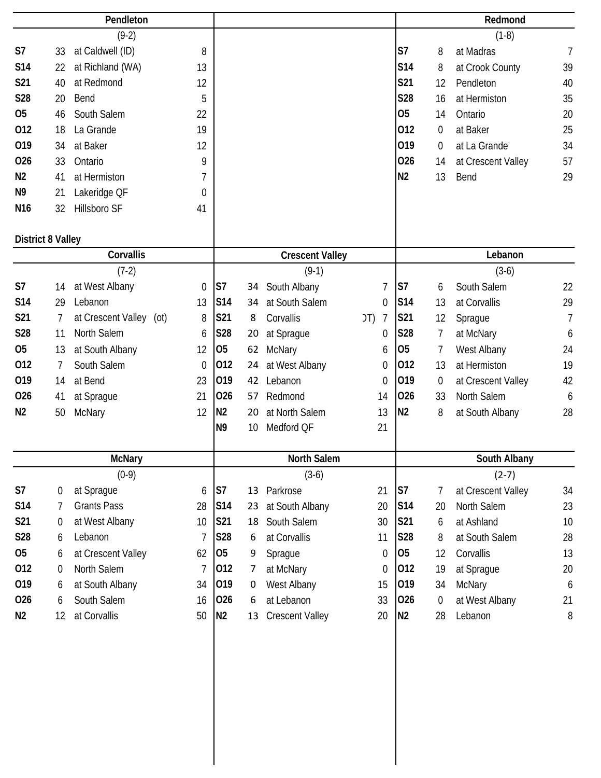|                          |                  | Pendleton               |                 |                 |                |                        |                        |                |                  | Redmond            |                |
|--------------------------|------------------|-------------------------|-----------------|-----------------|----------------|------------------------|------------------------|----------------|------------------|--------------------|----------------|
|                          |                  | $(9-2)$                 |                 |                 |                |                        |                        |                |                  | $(1-8)$            |                |
| S7                       | 33               | at Caldwell (ID)        | 8               |                 |                |                        |                        | S7             | 8                | at Madras          | $\overline{7}$ |
| <b>S14</b>               | 22               | at Richland (WA)        | 13              |                 |                |                        |                        | <b>S14</b>     | 8                | at Crook County    | 39             |
| S21                      | 40               | at Redmond              | 12              |                 |                |                        |                        | S21            | 12               | Pendleton          | 40             |
| S28                      | 20               | Bend                    | 5               |                 |                |                        |                        | <b>S28</b>     | 16               | at Hermiston       | 35             |
| 05                       | 46               | South Salem             | 22              |                 |                |                        |                        | <b>O5</b>      | 14               | Ontario            | 20             |
| 012                      | 18               | La Grande               | 19              |                 |                |                        |                        | 012            | $\overline{0}$   | at Baker           | 25             |
| 019                      | 34               | at Baker                | 12              |                 |                |                        |                        | 019            | 0                | at La Grande       | 34             |
| 026                      | 33               | Ontario                 | 9               |                 |                |                        |                        | 026            | 14               | at Crescent Valley | 57             |
| N <sub>2</sub>           | 41               | at Hermiston            | 7               |                 |                |                        |                        | N <sub>2</sub> | 13               | Bend               | 29             |
| N <sub>9</sub>           | 21               | Lakeridge QF            | $\mathbf 0$     |                 |                |                        |                        |                |                  |                    |                |
| N <sub>16</sub>          | 32               | Hillsboro SF            | 41              |                 |                |                        |                        |                |                  |                    |                |
| <b>District 8 Valley</b> |                  |                         |                 |                 |                |                        |                        |                |                  |                    |                |
|                          |                  | Corvallis               |                 |                 |                | <b>Crescent Valley</b> |                        |                |                  | Lebanon            |                |
|                          |                  | $(7-2)$                 |                 |                 |                | $(9-1)$                |                        |                |                  | $(3-6)$            |                |
| S7                       | 14               | at West Albany          | $\mathbf 0$     | S <sub>7</sub>  | 34             | South Albany           | $\overline{1}$         | S7             | 6                | South Salem        | 22             |
| S14                      | 29               | Lebanon                 | 13              | S14             | 34             | at South Salem         | $\mathbf 0$            | S14            | 13               | at Corvallis       | 29             |
| S21                      | 7                | at Crescent Valley (ot) | 8               | <b>S21</b>      | 8              | Corvallis              | J(T)<br>$\overline{7}$ | <b>S21</b>     | 12               | Sprague            | $\overline{7}$ |
| <b>S28</b>               | 11               | North Salem             | 6               | S28             | 20             | at Sprague             | $\mathbf 0$            | S28            | 7                | at McNary          | 6              |
| 05                       | 13               | at South Albany         | 12              | 05              | 62             | <b>McNary</b>          | 6                      | 05             | 7                | West Albany        | 24             |
| 012                      | 7                | South Salem             | 0               | 012             | 24             | at West Albany         | $\mathbf 0$            | 012            | 13               | at Hermiston       | 19             |
| 019                      | 14               | at Bend                 | 23              | 019             | 42             | Lebanon                | $\theta$               | 019            | $\boldsymbol{0}$ | at Crescent Valley | 42             |
| 026                      | 41               | at Sprague              | 21              | 026             | 57             | Redmond                | 14                     | 026            | 33               | North Salem        | 6              |
| N <sub>2</sub>           | 50               | McNary                  | 12              | N <sub>2</sub>  | 20             | at North Salem         | 13                     | N <sub>2</sub> | 8                | at South Albany    | 28             |
|                          |                  |                         |                 | N <sub>9</sub>  | 10             | Medford QF             | 21                     |                |                  |                    |                |
|                          |                  | <b>McNary</b>           |                 |                 |                | North Salem            |                        |                |                  | South Albany       |                |
|                          |                  | $(0-9)$                 |                 |                 |                | $(3-6)$                |                        |                |                  | $(2-7)$            |                |
| S7                       | 0                | at Sprague              | 6               | S <sub>7</sub>  |                | 13 Parkrose            | 21                     | S7             | 7                | at Crescent Valley | 34             |
| <b>S14</b>               | 7                | <b>Grants Pass</b>      | 28              | S <sub>14</sub> | 23             | at South Albany        | 20                     | <b>S14</b>     | 20               | North Salem        | 23             |
| S21                      | 0                | at West Albany          | 10 <sup>°</sup> | S21             | 18             | South Salem            | 30                     | S21            | 6                | at Ashland         | 10             |
| <b>S28</b>               | 6                | Lebanon                 | 7               | S28             | 6              | at Corvallis           | 11                     | S28            | 8                | at South Salem     | 28             |
| 05                       | 6                | at Crescent Valley      | 62              | 05              | 9              | Sprague                | 0                      | 05             | 12               | Corvallis          | 13             |
| 012                      | $\boldsymbol{0}$ | North Salem             | $\overline{7}$  | 012             | $\overline{7}$ | at McNary              | $\mathbf 0$            | 012            | 19               | at Sprague         | 20             |
| 019                      | 6                | at South Albany         | 34              | 019             | 0              | West Albany            | 15                     | 019            | 34               | McNary             | 6              |
| 026                      | 6                | South Salem             | 16              | 026             | 6              | at Lebanon             | 33                     | 026            | $\overline{0}$   | at West Albany     | 21             |
| N <sub>2</sub>           | 12               | at Corvallis            | 50              | N <sub>2</sub>  | 13             | <b>Crescent Valley</b> | 20                     | N <sub>2</sub> | 28               | Lebanon            | 8              |
|                          |                  |                         |                 |                 |                |                        |                        |                |                  |                    |                |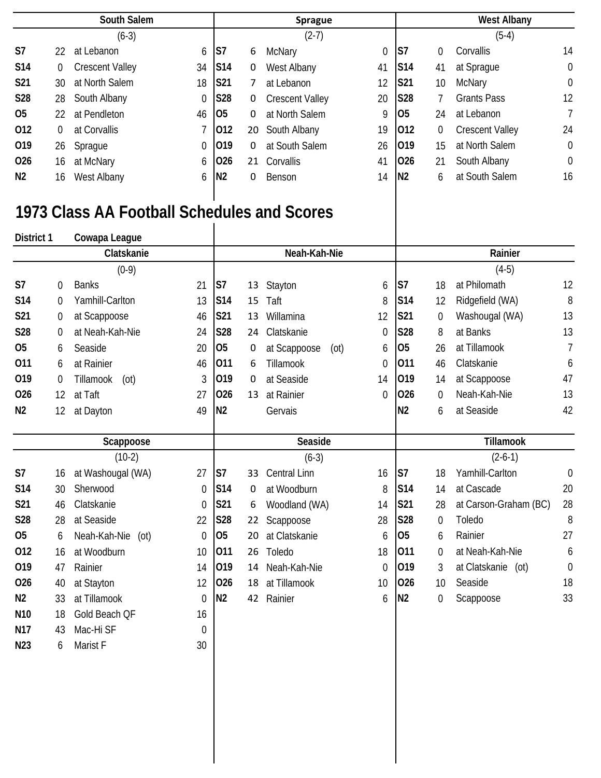|                | South Salem |                        |             | <b>Sprague</b>  |    |                        |             |                | <b>West Albany</b> |                        |                |  |
|----------------|-------------|------------------------|-------------|-----------------|----|------------------------|-------------|----------------|--------------------|------------------------|----------------|--|
|                |             | $(6-3)$                |             |                 |    | $(2-7)$                |             |                |                    | $(5-4)$                |                |  |
| S7             | 22          | at Lebanon             | 6           | IS <sub>7</sub> | 6  | McNary                 | $\mathbf 0$ | S7             | 0                  | Corvallis              | 14             |  |
| <b>S14</b>     | 0           | <b>Crescent Valley</b> | 34          | S <sub>14</sub> | 0  | West Albany            | 41          | <b>S14</b>     | 41                 | at Sprague             | $\overline{0}$ |  |
| S21            | 30          | at North Salem         | 18          | <b>S21</b>      | 7  | at Lebanon             | 12          | <b>S21</b>     | 10                 | McNary                 | $\overline{0}$ |  |
| <b>S28</b>     | 28          | South Albany           | $\mathbf 0$ | <b>S28</b>      | 0  | <b>Crescent Valley</b> | 20          | <b>S28</b>     |                    | <b>Grants Pass</b>     | 12             |  |
| 05             | 22          | at Pendleton           | 46          | <b>O</b>        | 0  | at North Salem         | 9           | <b>O</b> 5     | 24                 | at Lebanon             | $\overline{7}$ |  |
| 012            | 0           | at Corvallis           |             | 012             |    | 20 South Albany        | 19          | 012            | 0                  | <b>Crescent Valley</b> | 24             |  |
| 019            | 26          | Sprague                | $\mathbf 0$ | 019             | 0  | at South Salem         | 26          | 019            | 15                 | at North Salem         | $\overline{0}$ |  |
| 026            | 16          | at McNary              | 6           | 026             | 21 | Corvallis              | 41          | 026            | 21                 | South Albany           | $\overline{0}$ |  |
| N <sub>2</sub> | 16          | West Albany            | 6           | N <sub>2</sub>  | 0  | Benson                 | 14          | N <sub>2</sub> | 6                  | at South Salem         | 16             |  |

## **1973 Class AA Football Schedules and Scores**

 $\mathsf{l}$ 

**N23** 6 Marist F 30

| District 1      |                  | Cowapa League        |                  |                |    |                      |             |                |                  |                       |                  |
|-----------------|------------------|----------------------|------------------|----------------|----|----------------------|-------------|----------------|------------------|-----------------------|------------------|
|                 |                  | Clatskanie           |                  |                |    | Neah-Kah-Nie         |             |                |                  | Rainier               |                  |
|                 |                  | $(0-9)$              |                  |                |    |                      |             |                |                  | $(4-5)$               |                  |
| S7              | 0                | <b>Banks</b>         | 21               | S <sub>7</sub> | 13 | Stayton              | 6           | S7             | 18               | at Philomath          | 12               |
| S14             | 0                | Yamhill-Carlton      | 13               | S14            | 15 | Taft                 | 8           | S14            | 12               | Ridgefield (WA)       | 8                |
| S21             | 0                | at Scappoose         | 46               | S21            | 13 | Willamina            | 12          | S21            | $\boldsymbol{0}$ | Washougal (WA)        | 13               |
| <b>S28</b>      | 0                | at Neah-Kah-Nie      | 24               | <b>S28</b>     | 24 | Clatskanie           | $\mathbf 0$ | <b>S28</b>     | 8                | at Banks              | 13               |
| 05              | 6                | Seaside              | 20               | O <sub>5</sub> | 0  | at Scappoose<br>(ot) | 6           | 05             | 26               | at Tillamook          | 7                |
| 011             | 6                | at Rainier           | 46               | 011            | 6  | Tillamook            | 0           | 011            | 46               | Clatskanie            | 6                |
| 019             | $\boldsymbol{0}$ | Tillamook<br>(ot)    | 3                | 019            | 0  | at Seaside           | 14          | 019            | 14               | at Scappoose          | 47               |
| 026             | 12               | at Taft              | 27               | 026            | 13 | at Rainier           | $\mathbf 0$ | 026            | 0                | Neah-Kah-Nie          | 13               |
| N <sub>2</sub>  | 12               | at Dayton            | 49               | N <sub>2</sub> |    | Gervais              |             | N <sub>2</sub> | 6                | at Seaside            | 42               |
|                 |                  |                      |                  |                |    |                      |             |                |                  |                       |                  |
|                 |                  | Scappoose            |                  |                |    | Seaside              |             |                |                  | <b>Tillamook</b>      |                  |
|                 |                  | $(10-2)$             |                  |                |    | $(6-3)$              |             |                |                  | $(2-6-1)$             |                  |
| S7              | 16               | at Washougal (WA)    | 27               | lS7            | 33 | <b>Central Linn</b>  | 16          | S7             | 18               | Yamhill-Carlton       | $\mathbf 0$      |
| S <sub>14</sub> | 30               | Sherwood             | $\overline{0}$   | <b>S14</b>     | 0  | at Woodburn          | 8           | S14            | 14               | at Cascade            | 20               |
| S21             | 46               | Clatskanie           | $\boldsymbol{0}$ | S21            | 6  | Woodland (WA)        | 14          | S21            | 28               | at Carson-Graham (BC) | 28               |
| S28             | 28               | at Seaside           | 22               | S28            | 22 |                      |             | S28            | 0                | Toledo                | 8                |
| O <sub>5</sub>  |                  |                      |                  |                |    | Scappoose            | 28          |                |                  |                       |                  |
|                 | 6                | Neah-Kah-Nie<br>(ot) | $\boldsymbol{0}$ | <b>O5</b>      | 20 | at Clatskanie        | 6           | 05             | 6                | Rainier               | 27               |
| 012             | 16               | at Woodburn          | 10               | 011            | 26 | Toledo               | 18          | 011            | $\theta$         | at Neah-Kah-Nie       | 6                |
| 019             | 47               | Rainier              | 14               | 019            | 14 | Neah-Kah-Nie         | 0           | 019            | 3                | at Clatskanie<br>(ot) | $\boldsymbol{0}$ |
| 026             | 40               | at Stayton           | 12               | 026            | 18 | at Tillamook         | 10          | 026            | 10               | Seaside               | 18               |
| N <sub>2</sub>  | 33               | at Tillamook         | 0                | N <sub>2</sub> | 42 | Rainier              | 6           | N <sub>2</sub> | 0                | Scappoose             | 33               |
| N <sub>10</sub> | 18               | Gold Beach QF        | 16               |                |    |                      |             |                |                  |                       |                  |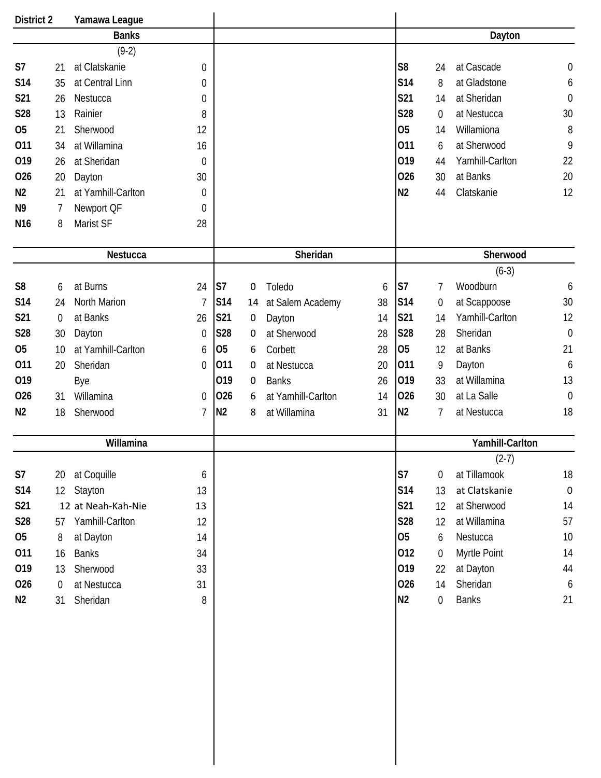| <b>District 2</b> |                  | Yamawa League       |                |                |             |                    |    |                |                  |                 |                  |
|-------------------|------------------|---------------------|----------------|----------------|-------------|--------------------|----|----------------|------------------|-----------------|------------------|
|                   |                  | <b>Banks</b>        |                |                |             |                    |    |                |                  | Dayton          |                  |
|                   |                  | $(9-2)$             |                |                |             |                    |    |                |                  |                 |                  |
| S <sub>7</sub>    | 21               | at Clatskanie       | 0              |                |             |                    |    | S <sub>8</sub> | 24               | at Cascade      | $\mathbf 0$      |
| <b>S14</b>        | 35               | at Central Linn     | 0              |                |             |                    |    | <b>S14</b>     | 8                | at Gladstone    | 6                |
| S21               | 26               | Nestucca            | 0              |                |             |                    |    | <b>S21</b>     | 14               | at Sheridan     | $\mathbf 0$      |
| <b>S28</b>        | 13               | Rainier             | 8              |                |             |                    |    | <b>S28</b>     | 0                | at Nestucca     | 30               |
| <b>O5</b>         | 21               | Sherwood            | 12             |                |             |                    |    | 05             | 14               | Willamiona      | 8                |
| 011               | 34               | at Willamina        | 16             |                |             |                    |    | 011            | 6                | at Sherwood     | 9                |
| 019               | 26               | at Sheridan         | 0              |                |             |                    |    | 019            | 44               | Yamhill-Carlton | 22               |
| 026               | 20               | Dayton              | 30             |                |             |                    |    | 026            | 30               | at Banks        | 20               |
| N <sub>2</sub>    | 21               | at Yamhill-Carlton  | 0              |                |             |                    |    | N <sub>2</sub> | 44               | Clatskanie      | 12               |
| N <sub>9</sub>    | 7                | Newport QF          | 0              |                |             |                    |    |                |                  |                 |                  |
| N <sub>16</sub>   | 8                | Marist SF           | 28             |                |             |                    |    |                |                  |                 |                  |
|                   |                  |                     |                |                |             |                    |    |                |                  |                 |                  |
|                   |                  | Nestucca            |                |                |             | Sheridan           |    |                |                  | Sherwood        |                  |
|                   |                  |                     |                |                |             |                    |    |                |                  | $(6-3)$         |                  |
| S <sub>8</sub>    | 6                | at Burns            | 24             | S7             | $\mathbf 0$ | Toledo             | 6  | S7             | 7                | Woodburn        | 6                |
| S14               | 24               | <b>North Marion</b> | $\overline{1}$ | S14            | 14          | at Salem Academy   | 38 | S14            | 0                | at Scappoose    | 30               |
| S21               | 0                | at Banks            | 26             | S21            | 0           | Dayton             | 14 | S21            | 14               | Yamhill-Carlton | 12               |
| <b>S28</b>        | 30               | Dayton              | 0              | <b>S28</b>     | 0           | at Sherwood        | 28 | <b>S28</b>     | 28               | Sheridan        | $\overline{0}$   |
| <b>O5</b>         | 10               | at Yamhill-Carlton  | 6              | O <sub>5</sub> | 6           | Corbett            | 28 | 05             | 12               | at Banks        | 21               |
| 011               | 20               | Sheridan            | 0              | 011            | 0           | at Nestucca        | 20 | 011            | 9                | Dayton          | 6                |
| 019               |                  | Bye                 |                | 019            | 0           | <b>Banks</b>       | 26 | 019            | 33               | at Willamina    | 13               |
| 026               | 31               | Willamina           | 0              | 026            | 6           | at Yamhill-Carlton | 14 | 026            | 30               | at La Salle     | $\mathbf 0$      |
| N <sub>2</sub>    | 18               | Sherwood            | $\overline{7}$ | N <sub>2</sub> | 8           | at Willamina       | 31 | N <sub>2</sub> | 7                | at Nestucca     | 18               |
|                   |                  |                     |                |                |             |                    |    |                |                  |                 |                  |
|                   |                  | Willamina           |                |                |             |                    |    |                |                  | Yamhill-Carlton |                  |
|                   |                  |                     |                |                |             |                    |    |                |                  | $(2-7)$         |                  |
| S7                | 20               | at Coquille         | 6              |                |             |                    |    | S7             | $\mathbf 0$      | at Tillamook    | 18               |
| <b>S14</b>        | 12 <sup>°</sup>  | Stayton             | 13             |                |             |                    |    | <b>S14</b>     | 13               | at Clatskanie   | $\pmb{0}$        |
| <b>S21</b>        |                  | 12 at Neah-Kah-Nie  | 13             |                |             |                    |    | S21            | 12               | at Sherwood     | 14               |
| <b>S28</b>        | 57               | Yamhill-Carlton     | 12             |                |             |                    |    | S28            | 12               | at Willamina    | 57               |
| 05                | 8                | at Dayton           | 14             |                |             |                    |    | <b>O5</b>      | 6                | Nestucca        | 10               |
| 011               | 16               | <b>Banks</b>        | 34             |                |             |                    |    | 012            | $\overline{0}$   | Myrtle Point    | 14               |
| 019               | 13               | Sherwood            | 33             |                |             |                    |    | 019            | 22               | at Dayton       | 44               |
| 026               | $\boldsymbol{0}$ | at Nestucca         | 31             |                |             |                    |    | 026            | 14               | Sheridan        | $\boldsymbol{6}$ |
| N <sub>2</sub>    | 31               | Sheridan            | 8              |                |             |                    |    | N2             | $\boldsymbol{0}$ | <b>Banks</b>    | 21               |
|                   |                  |                     |                |                |             |                    |    |                |                  |                 |                  |
|                   |                  |                     |                |                |             |                    |    |                |                  |                 |                  |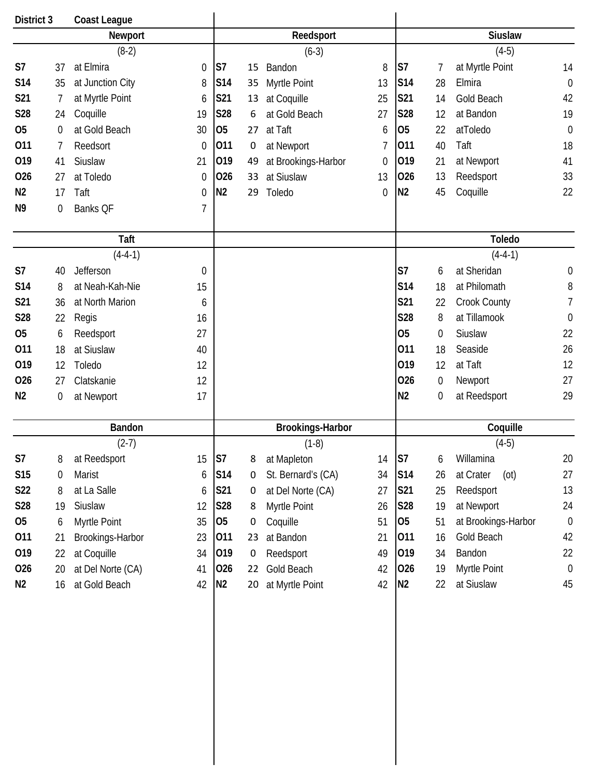| District 3     |             | <b>Coast League</b> |                  |                |             |                         |                  |                |                  |                     |                  |
|----------------|-------------|---------------------|------------------|----------------|-------------|-------------------------|------------------|----------------|------------------|---------------------|------------------|
|                |             | Newport             |                  |                |             | Reedsport               |                  |                |                  | <b>Siuslaw</b>      |                  |
|                |             | $(8-2)$             |                  |                |             | $(6-3)$                 |                  |                |                  | $(4-5)$             |                  |
| S <sub>7</sub> | 37          | at Elmira           | $\boldsymbol{0}$ | S7             | 15          | Bandon                  | 8                | S7             | 7                | at Myrtle Point     | 14               |
| S14            | 35          | at Junction City    | 8                | S14            | 35          | Myrtle Point            | 13               | <b>S14</b>     | 28               | Elmira              | $\mathbf 0$      |
| S21            | 7           | at Myrtle Point     | 6                | S21            | 13          | at Coquille             | 25               | S21            | 14               | Gold Beach          | 42               |
| S28            | 24          | Coquille            | 19               | <b>S28</b>     | 6           | at Gold Beach           | 27               | <b>S28</b>     | 12               | at Bandon           | 19               |
| <b>O5</b>      | 0           | at Gold Beach       | 30               | 05             | 27          | at Taft                 | 6                | O <sub>5</sub> | 22               | atToledo            | $\mathbf 0$      |
| 011            | 7           | Reedsort            | $\mathbf 0$      | 011            | $\mathbf 0$ | at Newport              | 7                | 011            | 40               | Taft                | 18               |
| 019            | 41          | Siuslaw             | 21               | 019            | 49          | at Brookings-Harbor     | $\mathbf 0$      | 019            | 21               | at Newport          | 41               |
| 026            | 27          | at Toledo           | $\boldsymbol{0}$ | 026            | 33          | at Siuslaw              | 13               | 026            | 13               | Reedsport           | 33               |
| N <sub>2</sub> | 17          | Taft                | 0                | N <sub>2</sub> | 29          | Toledo                  | $\boldsymbol{0}$ | N <sub>2</sub> | 45               | Coquille            | 22               |
| N <sub>9</sub> | $\mathbf 0$ | Banks QF            | $\overline{1}$   |                |             |                         |                  |                |                  |                     |                  |
|                |             |                     |                  |                |             |                         |                  |                |                  |                     |                  |
|                |             | <b>Taft</b>         |                  |                |             |                         |                  |                |                  | <b>Toledo</b>       |                  |
|                |             | $(4-4-1)$           |                  |                |             |                         |                  |                |                  | $(4-4-1)$           |                  |
| S <sub>7</sub> | 40          | Jefferson           | $\boldsymbol{0}$ |                |             |                         |                  | S7             | 6                | at Sheridan         | $\boldsymbol{0}$ |
| <b>S14</b>     | 8           | at Neah-Kah-Nie     | 15               |                |             |                         |                  | S14            | 18               | at Philomath        | 8                |
| S21            | 36          | at North Marion     | 6                |                |             |                         |                  | S21            | 22               | Crook County        | 7                |
| S28            | 22          | Regis               | 16               |                |             |                         |                  | S28            | 8                | at Tillamook        | $\mathbf 0$      |
| <b>O5</b>      | 6           | Reedsport           | 27               |                |             |                         |                  | 05             | $\boldsymbol{0}$ | Siuslaw             | 22               |
| 011            | 18          | at Siuslaw          | 40               |                |             |                         |                  | 011            | 18               | Seaside             | 26               |
| 019            | 12          | Toledo              | 12               |                |             |                         |                  | 019            | 12               | at Taft             | 12               |
| 026            | 27          | Clatskanie          | 12               |                |             |                         |                  | 026            | $\mathbf 0$      | Newport             | 27               |
| N <sub>2</sub> | 0           | at Newport          | 17               |                |             |                         |                  | N <sub>2</sub> | $\boldsymbol{0}$ | at Reedsport        | 29               |
|                |             |                     |                  |                |             |                         |                  |                |                  |                     |                  |
|                |             | <b>Bandon</b>       |                  |                |             | <b>Brookings-Harbor</b> |                  |                |                  | Coquille            |                  |
|                |             | $(2-7)$             |                  |                |             | $(1-8)$                 |                  |                |                  | $(4-5)$             |                  |
| S7             | 8           | at Reedsport        | 15               | S7             | 8           | at Mapleton             | 14               | S7             | 6                | Willamina           | 20               |
| S15            | 0           | Marist              | 6                | S14            | 0           | St. Bernard's (CA)      | 34               | <b>S14</b>     | 26               | at Crater<br>(ot)   | 27               |
| <b>S22</b>     | 8           | at La Salle         | 6                | S21            | 0           | at Del Norte (CA)       | 27               | S21            | 25               | Reedsport           | 13               |
| S28            | 19          | Siuslaw             | 12               | S28            | 8           | Myrtle Point            | 26               | S28            | 19               | at Newport          | 24               |
| 05             | 6           | Myrtle Point        | 35               | 05             | 0           | Coquille                | 51               | 05             | 51               | at Brookings-Harbor | $\boldsymbol{0}$ |
| 011            | 21          | Brookings-Harbor    | 23               | 011            | 23          | at Bandon               | 21               | 011            | 16               | Gold Beach          | 42               |
| 019            | 22          | at Coquille         | 34               | 019            | $\mathbf 0$ | Reedsport               | 49               | 019            | 34               | Bandon              | 22               |
| 026            | 20          | at Del Norte (CA)   | 41               | 026            | 22          | Gold Beach              | 42               | 026            | 19               | Myrtle Point        | $\theta$         |
| N <sub>2</sub> | 16          | at Gold Beach       | 42               | N <sub>2</sub> | 20          | at Myrtle Point         | 42               | N <sub>2</sub> | 22               | at Siuslaw          | 45               |
|                |             |                     |                  |                |             |                         |                  |                |                  |                     |                  |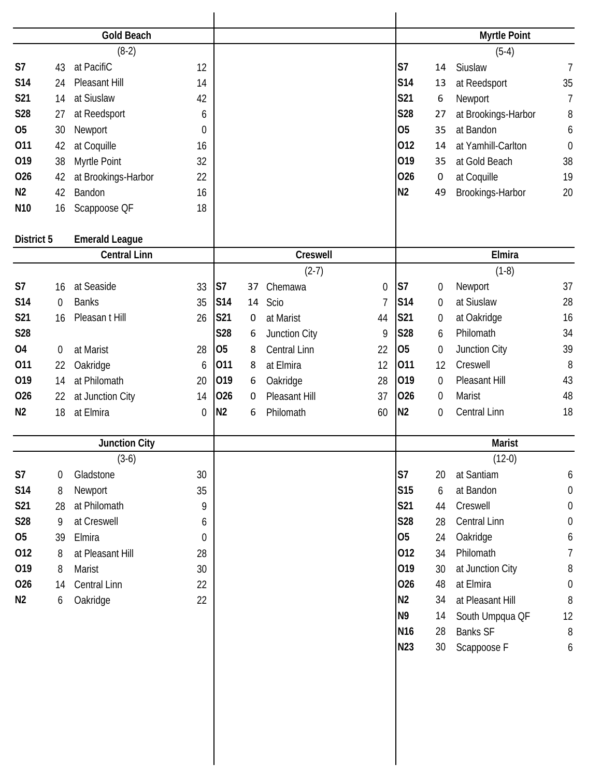|                 |             | <b>Gold Beach</b>     |                  |                |    |                     |                |                 |                  | <b>Myrtle Point</b> |                  |
|-----------------|-------------|-----------------------|------------------|----------------|----|---------------------|----------------|-----------------|------------------|---------------------|------------------|
|                 |             | $(8-2)$               |                  |                |    |                     |                |                 |                  | $(5-4)$             |                  |
| S <sub>7</sub>  | 43          | at PacifiC            | 12               |                |    |                     |                | S7              | 14               | Siuslaw             | $\overline{7}$   |
| <b>S14</b>      | 24          | Pleasant Hill         | 14               |                |    |                     |                | <b>S14</b>      | 13               | at Reedsport        | 35               |
| S21             | 14          | at Siuslaw            | 42               |                |    |                     |                | S21             | 6                | Newport             | $\overline{1}$   |
| S28             | 27          | at Reedsport          | 6                |                |    |                     |                | <b>S28</b>      | 27               | at Brookings-Harbor | 8                |
| <b>O5</b>       | 30          | Newport               | 0                |                |    |                     |                | <b>O5</b>       | 35               | at Bandon           | 6                |
| 011             | 42          | at Coquille           | 16               |                |    |                     |                | 012             | 14               | at Yamhill-Carlton  | $\mathbf 0$      |
| 019             | 38          | Myrtle Point          | 32               |                |    |                     |                | 019             | 35               | at Gold Beach       | 38               |
| 026             | 42          | at Brookings-Harbor   | 22               |                |    |                     |                | 026             | 0                | at Coquille         | 19               |
| N <sub>2</sub>  | 42          | Bandon                | 16               |                |    |                     |                | N <sub>2</sub>  | 49               | Brookings-Harbor    | 20               |
| N <sub>10</sub> | 16          | Scappoose QF          | 18               |                |    |                     |                |                 |                  |                     |                  |
| District 5      |             | <b>Emerald League</b> |                  |                |    |                     |                |                 |                  |                     |                  |
|                 |             | <b>Central Linn</b>   |                  |                |    | Creswell            |                |                 |                  | Elmira              |                  |
|                 |             |                       |                  |                |    | $(2-7)$             |                |                 |                  | $(1-8)$             |                  |
| S <sub>7</sub>  | 16          | at Seaside            | 33               | S7             | 37 | Chemawa             | 0              | S <sub>7</sub>  | $\boldsymbol{0}$ | Newport             | 37               |
| <b>S14</b>      | $\mathbf 0$ | <b>Banks</b>          | 35               | S14            | 14 | Scio                | $\overline{1}$ | <b>S14</b>      | $\boldsymbol{0}$ | at Siuslaw          | 28               |
| S21             | 16          | Pleasan t Hill        | 26               | S21            | 0  | at Marist           | 44             | S21             | $\boldsymbol{0}$ | at Oakridge         | 16               |
| S28             |             |                       |                  | <b>S28</b>     | 6  | Junction City       | 9              | <b>S28</b>      | 6                | Philomath           | 34               |
| <b>04</b>       | 0           | at Marist             | 28               | O <sub>5</sub> | 8  | <b>Central Linn</b> | 22             | 05              | $\boldsymbol{0}$ | Junction City       | 39               |
| 011             | 22          | Oakridge              | 6                | 011            | 8  | at Elmira           | 12             | 011             | 12               | Creswell            | 8                |
| 019             | 14          | at Philomath          | 20               | 019            | 6  | Oakridge            | 28             | 019             | $\boldsymbol{0}$ | Pleasant Hill       | 43               |
| 026             | 22          | at Junction City      | 14               | 026            | 0  | Pleasant Hill       | 37             | 026             | $\boldsymbol{0}$ | Marist              | 48               |
| N <sub>2</sub>  | 18          | at Elmira             | $\boldsymbol{0}$ | N <sub>2</sub> | 6  | Philomath           | 60             | N <sub>2</sub>  | $\boldsymbol{0}$ | Central Linn        | 18               |
|                 |             | <b>Junction City</b>  |                  |                |    |                     |                |                 |                  | <b>Marist</b>       |                  |
|                 |             | $(3-6)$               |                  |                |    |                     |                |                 |                  | $(12-0)$            |                  |
| S7              | 0           | Gladstone             | 30               |                |    |                     |                | S7              | 20               | at Santiam          | 6                |
| S14             | 8           | Newport               | 35               |                |    |                     |                | S15             | 6                | at Bandon           | $\boldsymbol{0}$ |
| S21             | 28          | at Philomath          | 9                |                |    |                     |                | S21             | 44               | Creswell            | $\boldsymbol{0}$ |
| S28             | 9           | at Creswell           | 6                |                |    |                     |                | S28             | 28               | Central Linn        | $\boldsymbol{0}$ |
| <b>O5</b>       | 39          | Elmira                | $\boldsymbol{0}$ |                |    |                     |                | <b>O5</b>       | 24               | Oakridge            | 6                |
| 012             | 8           | at Pleasant Hill      | 28               |                |    |                     |                | 012             | 34               | Philomath           | 7                |
| 019             | 8           | Marist                | 30               |                |    |                     |                | 019             | 30               | at Junction City    | 8                |
| 026             | 14          | Central Linn          | 22               |                |    |                     |                | 026             | 48               | at Elmira           | $\boldsymbol{0}$ |
| N2              | 6           | Oakridge              | 22               |                |    |                     |                | N <sub>2</sub>  | 34               | at Pleasant Hill    | $8\,$            |
|                 |             |                       |                  |                |    |                     |                | N <sub>9</sub>  | 14               | South Umpqua QF     | 12               |
|                 |             |                       |                  |                |    |                     |                | N <sub>16</sub> | 28               | <b>Banks SF</b>     | $8\,$            |
|                 |             |                       |                  |                |    |                     |                | N23             | 30               | Scappoose F         | 6                |
|                 |             |                       |                  |                |    |                     |                |                 |                  |                     |                  |
|                 |             |                       |                  |                |    |                     |                |                 |                  |                     |                  |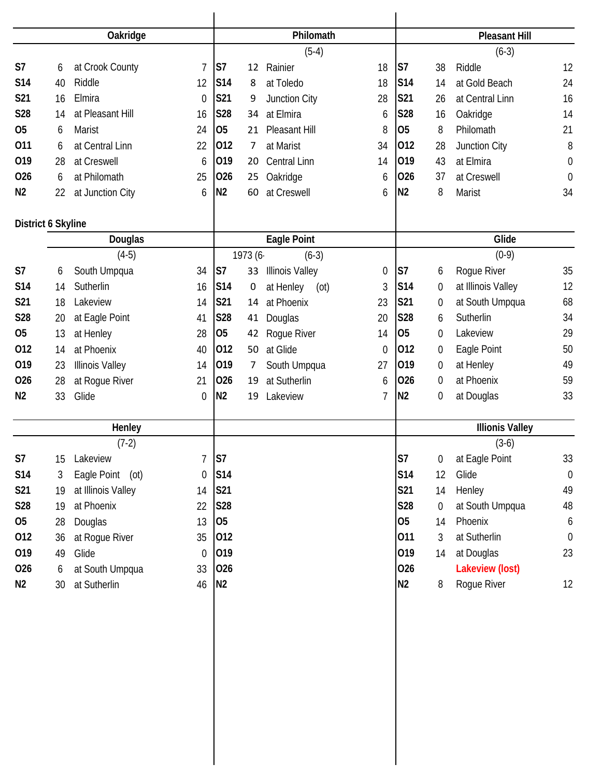|                    |    | Oakridge               |                |                |                | Philomath              |                  |                |                  | <b>Pleasant Hill</b>   |                  |
|--------------------|----|------------------------|----------------|----------------|----------------|------------------------|------------------|----------------|------------------|------------------------|------------------|
|                    |    |                        |                |                |                | $(5-4)$                |                  |                |                  | $(6-3)$                |                  |
| S7                 | 6  | at Crook County        | $\overline{7}$ | S <sub>7</sub> | 12             | Rainier                | 18               | S <sub>7</sub> | 38               | Riddle                 | 12               |
| S <sub>14</sub>    | 40 | Riddle                 | 12             | <b>S14</b>     | 8              | at Toledo              | 18               | S14            | 14               | at Gold Beach          | 24               |
| S21                | 16 | Elmira                 | $\mathbf 0$    | S21            | 9              | Junction City          | 28               | <b>S21</b>     | 26               | at Central Linn        | 16               |
| S28                | 14 | at Pleasant Hill       | 16             | S28            | 34             | at Elmira              | 6                | <b>S28</b>     | 16               | Oakridge               | 14               |
| O <sub>5</sub>     | 6  | <b>Marist</b>          | 24             | O <sub>5</sub> | 21             | Pleasant Hill          | 8                | O <sub>5</sub> | 8                | Philomath              | 21               |
| 011                | 6  | at Central Linn        | 22             | 012            | 7              | at Marist              | 34               | 012            | 28               | Junction City          | $\, 8$           |
| 019                | 28 | at Creswell            | 6              | 019            | 20             | <b>Central Linn</b>    | 14               | 019            | 43               | at Elmira              | $\boldsymbol{0}$ |
| 026                | 6  | at Philomath           | 25             | 026            | 25             | Oakridge               | 6                | 026            | 37               | at Creswell            | $\mathbf 0$      |
| N <sub>2</sub>     | 22 | at Junction City       | 6              | N <sub>2</sub> | 60             | at Creswell            | 6                | N <sub>2</sub> | 8                | Marist                 | 34               |
| District 6 Skyline |    |                        |                |                |                |                        |                  |                |                  |                        |                  |
|                    |    | Douglas                |                |                |                | <b>Eagle Point</b>     |                  |                |                  | Glide                  |                  |
|                    |    | $(4-5)$                |                |                | 1973 (6-       | $(6-3)$                |                  |                |                  | $(0-9)$                |                  |
| S7                 | 6  | South Umpqua           | 34             | S <sub>7</sub> | 33             | <b>Illinois Valley</b> | $\boldsymbol{0}$ | S <sub>7</sub> | 6                | Rogue River            | 35               |
| S14                | 14 | Sutherlin              | 16             | S14            | 0              | at Henley<br>(ot)      | $\mathfrak{Z}$   | S14            | $\boldsymbol{0}$ | at Illinois Valley     | 12               |
| S21                | 18 | Lakeview               | 14             | S21            | 14             | at Phoenix             | 23               | S21            | 0                | at South Umpqua        | 68               |
| S28                | 20 | at Eagle Point         | 41             | <b>S28</b>     | 41             | Douglas                | 20               | <b>S28</b>     | 6                | Sutherlin              | 34               |
| 05                 | 13 | at Henley              | 28             | 05             | 42             | Rogue River            | 14               | 05             | $\boldsymbol{0}$ | Lakeview               | 29               |
| 012                | 14 | at Phoenix             | 40             | 012            | 50             | at Glide               | 0                | 012            | 0                | Eagle Point            | 50               |
| 019                | 23 | <b>Illinois Valley</b> | 14             | 019            | $\overline{7}$ | South Umpqua           | 27               | 019            | 0                | at Henley              | 49               |
| 026                | 28 | at Rogue River         | 21             | 026            | 19             | at Sutherlin           | 6                | 026            | 0                | at Phoenix             | 59               |
| N <sub>2</sub>     | 33 | Glide                  | $\theta$       | N <sub>2</sub> | 19             | Lakeview               | 7                | N <sub>2</sub> | $\boldsymbol{0}$ | at Douglas             | 33               |
|                    |    | Henley                 |                |                |                |                        |                  |                |                  | <b>Illionis Valley</b> |                  |
|                    |    | $(7-2)$                |                |                |                |                        |                  |                |                  | $(3-6)$                |                  |
| S7                 | 15 | Lakeview               | $\overline{7}$ | S <sub>7</sub> |                |                        |                  | S7             | $\mathbf 0$      | at Eagle Point         | 33               |
| S14                | 3  | Eagle Point (ot)       | $\mathbf 0$    | S14            |                |                        |                  | <b>S14</b>     | 12               | Glide                  | $\mathbf 0$      |
| S21                | 19 | at Illinois Valley     | 14             | <b>S21</b>     |                |                        |                  | S21            | 14               | Henley                 | 49               |
| S28                | 19 | at Phoenix             | 22             | <b>S28</b>     |                |                        |                  | <b>S28</b>     | $\boldsymbol{0}$ | at South Umpqua        | 48               |
| 05                 | 28 | Douglas                | 13             | 05             |                |                        |                  | 05             | 14               | Phoenix                | 6                |
| 012                | 36 | at Rogue River         | 35             | 012            |                |                        |                  | 011            | 3                | at Sutherlin           | $\overline{0}$   |
| 019                | 49 | Glide                  | $\Omega$       | 019            |                |                        |                  | 019            | 14               | at Douglas             | 23               |
| 026                | 6  | at South Umpqua        | 33             | 026            |                |                        |                  | 026            |                  | Lakeview (lost)        |                  |
| N2                 | 30 | at Sutherlin           | 46             | N <sub>2</sub> |                |                        |                  | N <sub>2</sub> | 8                | Rogue River            | 12               |
|                    |    |                        |                |                |                |                        |                  |                |                  |                        |                  |
|                    |    |                        |                |                |                |                        |                  |                |                  |                        |                  |
|                    |    |                        |                |                |                |                        |                  |                |                  |                        |                  |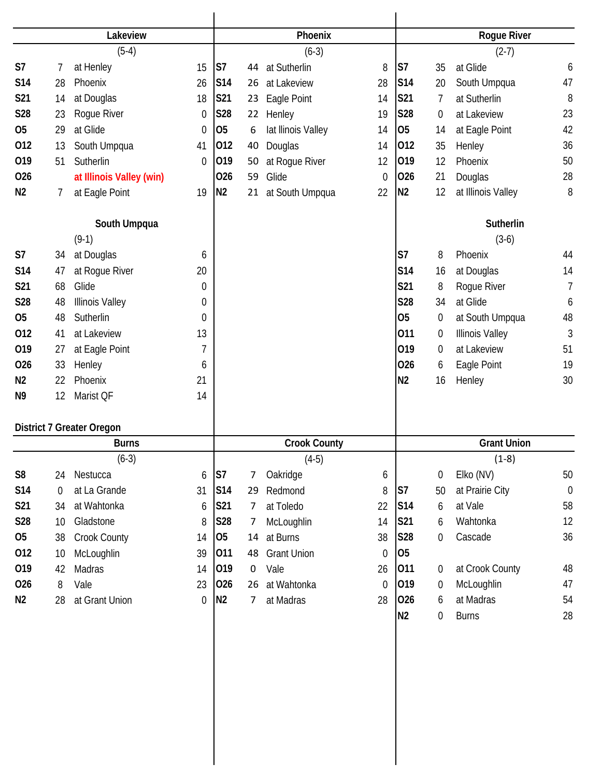|                |             | Lakeview                         |                  |                 |                | Phoenix             |             |                |                  | <b>Rogue River</b>     |                |
|----------------|-------------|----------------------------------|------------------|-----------------|----------------|---------------------|-------------|----------------|------------------|------------------------|----------------|
|                |             | $(5-4)$                          |                  |                 |                | $(6-3)$             |             |                |                  | $(2-7)$                |                |
| S7             | 7           | at Henley                        | 15               | S7              | 44             | at Sutherlin        | 8           | S7             | 35               | at Glide               | 6              |
| <b>S14</b>     | 28          | Phoenix                          | 26               | S14             | 26             | at Lakeview         | 28          | S14            | 20               | South Umpqua           | 47             |
| S21            | 14          | at Douglas                       | 18               | S21             | 23             | Eagle Point         | 14          | <b>S21</b>     | 7                | at Sutherlin           | 8              |
| S28            | 23          | Roque River                      | $\boldsymbol{0}$ | S28             | 22             | Henley              | 19          | <b>S28</b>     | 0                | at Lakeview            | 23             |
| <b>O5</b>      | 29          | at Glide                         | $\mathbf 0$      | 05              | 6              | lat Ilinois Valley  | 14          | 05             | 14               | at Eagle Point         | 42             |
| 012            | 13          | South Umpqua                     | 41               | 012             | 40             | Douglas             | 14          | 012            | 35               | Henley                 | 36             |
| 019            | 51          | Sutherlin                        | $\boldsymbol{0}$ | 019             | 50             | at Rogue River      | 12          | 019            | 12               | Phoenix                | 50             |
| 026            |             | at Illinois Valley (win)         |                  | 026             | 59             | Glide               | $\mathbf 0$ | 026            | 21               | Douglas                | 28             |
| N <sub>2</sub> | 7           | at Eagle Point                   | 19               | N <sub>2</sub>  |                | 21 at South Umpqua  | 22          | N <sub>2</sub> | 12               | at Illinois Valley     | 8              |
|                |             | South Umpqua                     |                  |                 |                |                     |             |                |                  | <b>Sutherlin</b>       |                |
|                |             | $(9-1)$                          |                  |                 |                |                     |             |                |                  | $(3-6)$                |                |
| S7             | 34          | at Douglas                       | 6                |                 |                |                     |             | S7             | 8                | Phoenix                | 44             |
| <b>S14</b>     | 47          | at Rogue River                   | 20               |                 |                |                     |             | <b>S14</b>     | 16               | at Douglas             | 14             |
| S21            | 68          | Glide                            | $\Omega$         |                 |                |                     |             | <b>S21</b>     | 8                | Rogue River            | $\overline{1}$ |
| S28            | 48          | <b>Illinois Valley</b>           | 0                |                 |                |                     |             | <b>S28</b>     | 34               | at Glide               | 6              |
| <b>O5</b>      | 48          | Sutherlin                        | 0                |                 |                |                     |             | <b>O5</b>      | $\overline{0}$   | at South Umpqua        | 48             |
| 012            | 41          | at Lakeview                      | 13               |                 |                |                     |             | 011            | 0                | <b>Illinois Valley</b> | 3              |
| 019            | 27          | at Eagle Point                   | 7                |                 |                |                     |             | 019            | 0                | at Lakeview            | 51             |
| 026            | 33          | Henley                           | 6                |                 |                |                     |             | 026            | 6                | Eagle Point            | 19             |
| N <sub>2</sub> | 22          | Phoenix                          | 21               |                 |                |                     |             | N <sub>2</sub> | 16               | Henley                 | 30             |
| N <sub>9</sub> | 12          | Marist QF                        | 14               |                 |                |                     |             |                |                  |                        |                |
|                |             | <b>District 7 Greater Oregon</b> |                  |                 |                |                     |             |                |                  |                        |                |
|                |             | <b>Burns</b>                     |                  |                 |                | <b>Crook County</b> |             |                |                  | <b>Grant Union</b>     |                |
|                |             | $(6-3)$                          |                  |                 |                | $(4-5)$             |             |                |                  | $(1-8)$                |                |
| S <sub>8</sub> | 24          | Nestucca                         | 6                | S7              | 7              | Oakridge            | 6           |                | $\boldsymbol{0}$ | Elko (NV)              | 50             |
| S14            | $\mathbf 0$ | at La Grande                     | 31               | S <sub>14</sub> | 29             | Redmond             | 8           | S7             | 50               | at Prairie City        | $\mathbf 0$    |
| S21            | 34          | at Wahtonka                      | 6                | S21             | 7              | at Toledo           | 22          | <b>S14</b>     | 6                | at Vale                | 58             |
| S28            | 10          | Gladstone                        | 8                | <b>S28</b>      | 7              | McLoughlin          | 14          | <b>S21</b>     | 6                | Wahtonka               | 12             |
| <b>O5</b>      | 38          | Crook County                     | 14               | 05              | 14             | at Burns            | 38          | <b>S28</b>     | 0                | Cascade                | 36             |
| 012            | 10          | McLoughlin                       | 39               | 011             | 48             | <b>Grant Union</b>  | $\mathbf 0$ | 05             |                  |                        |                |
| 019            | 42          | Madras                           | 14               | 019             | 0              | Vale                | 26          | 011            | $\overline{0}$   | at Crook County        | 48             |
| 026            | 8           | Vale                             | 23               | 026             | 26             | at Wahtonka         | $\mathbf 0$ | 019            | $\overline{0}$   | McLoughlin             | 47             |
| N2             | 28          | at Grant Union                   | $\mathbf 0$      | N <sub>2</sub>  | $\overline{7}$ | at Madras           | 28          | 026            | 6                | at Madras              | 54             |
|                |             |                                  |                  |                 |                |                     |             | N <sub>2</sub> | $\overline{0}$   | <b>Burns</b>           | 28             |
|                |             |                                  |                  |                 |                |                     |             |                |                  |                        |                |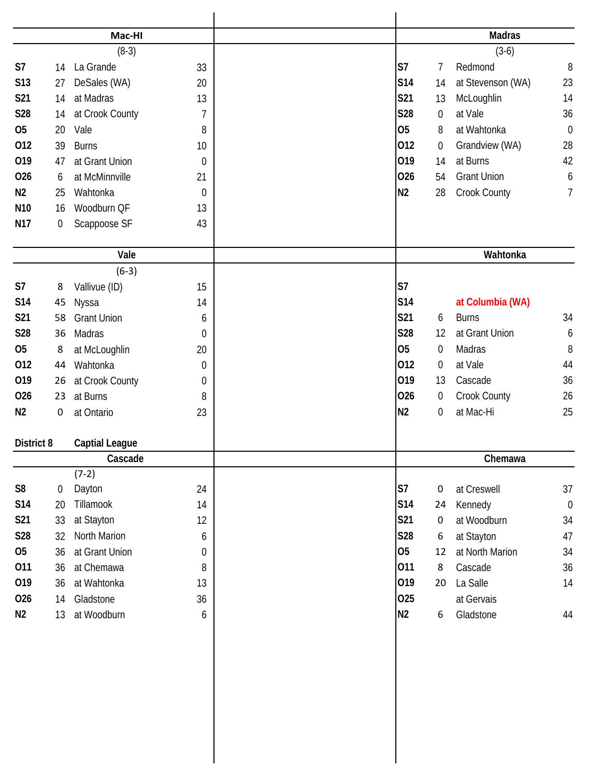|                 |             | Mac-HI                |                  | <b>Madras</b>                                   |                  |
|-----------------|-------------|-----------------------|------------------|-------------------------------------------------|------------------|
|                 |             | $(8-3)$               |                  | $(3-6)$                                         |                  |
| S7              | 14          | La Grande             | 33               | S7<br>Redmond<br>7                              | $\, 8$           |
| <b>S13</b>      | 27          | DeSales (WA)          | 20               | S14<br>at Stevenson (WA)<br>14                  | 23               |
| S21             | 14          | at Madras             | 13               | McLoughlin<br>S21<br>13                         | 14               |
| <b>S28</b>      | 14          | at Crook County       | $\overline{1}$   | at Vale<br>S28<br>$\mathbf 0$                   | 36               |
| <b>O5</b>       | 20          | Vale                  | 8                | 05<br>at Wahtonka<br>8                          | $\mathbf 0$      |
| 012             | 39          | <b>Burns</b>          | 10               | 012<br>Grandview (WA)<br>0                      | 28               |
| 019             | 47          | at Grant Union        | $\boldsymbol{0}$ | 019<br>at Burns<br>14                           | 42               |
| 026             | 6           | at McMinnville        | 21               | 026<br><b>Grant Union</b><br>54                 | 6                |
| N <sub>2</sub>  | 25          | Wahtonka              | $\mathbf 0$      | N <sub>2</sub><br>Crook County<br>28            | 7                |
| N <sub>10</sub> | 16          | Woodburn QF           | 13               |                                                 |                  |
| N17             | $\mathbf 0$ | Scappoose SF          | 43               |                                                 |                  |
|                 |             | Vale                  |                  | Wahtonka                                        |                  |
|                 |             | $(6-3)$               |                  |                                                 |                  |
| S7              | 8           | Vallivue (ID)         | 15               | S7                                              |                  |
| <b>S14</b>      | 45          | Nyssa                 | 14               | S14<br>at Columbia (WA)                         |                  |
| S21             | 58          | <b>Grant Union</b>    | 6                | S21<br><b>Burns</b><br>6                        | 34               |
| S28             | 36          | Madras                | $\mathbf 0$      | S28<br>at Grant Union<br>12                     | 6                |
| <b>O5</b>       | 8           | at McLoughlin         | 20               | 05<br>$\boldsymbol{0}$<br>Madras                | 8                |
| 012             | 44          | Wahtonka              | $\boldsymbol{0}$ | 012<br>at Vale<br>$\overline{0}$                | 44               |
| 019             | 26          | at Crook County       | $\boldsymbol{0}$ | 019<br>Cascade<br>13                            | 36               |
| 026             | 23          | at Burns              | 8                | 026<br>Crook County<br>$\boldsymbol{0}$         | 26               |
| N <sub>2</sub>  | $\mathbf 0$ | at Ontario            | 23               | N <sub>2</sub><br>at Mac-Hi<br>$\boldsymbol{0}$ | 25               |
| District 8      |             | <b>Captial League</b> |                  |                                                 |                  |
|                 |             | Cascade               |                  | Chemawa                                         |                  |
|                 |             | $(7-2)$               |                  |                                                 |                  |
| S <sub>8</sub>  | $\mathbf 0$ | Dayton                | 24               | S7<br>at Creswell<br>0                          | 37               |
| S14             | 20          | Tillamook             | 14               | S14<br>Kennedy<br>24                            | $\boldsymbol{0}$ |
| <b>S21</b>      | 33          | at Stayton            | 12               | <b>S21</b><br>at Woodburn<br>0                  | 34               |
| <b>S28</b>      | 32          | North Marion          | 6                | S28<br>at Stayton<br>6                          | 47               |
| 05              | 36          | at Grant Union        | $\mathbf 0$      | 05<br>at North Marion<br>12                     | 34               |
| 011             | 36          | at Chemawa            | 8                | 011<br>8<br>Cascade                             | 36               |
| 019             | 36          | at Wahtonka           | 13               | 019<br>La Salle<br>20                           | 14               |
| 026             | 14          | Gladstone             | 36               | 025<br>at Gervais                               |                  |
| N2              | 13          | at Woodburn           | 6                | N2<br>Gladstone<br>6                            | 44               |
|                 |             |                       |                  |                                                 |                  |
|                 |             |                       |                  |                                                 |                  |
|                 |             |                       |                  |                                                 |                  |